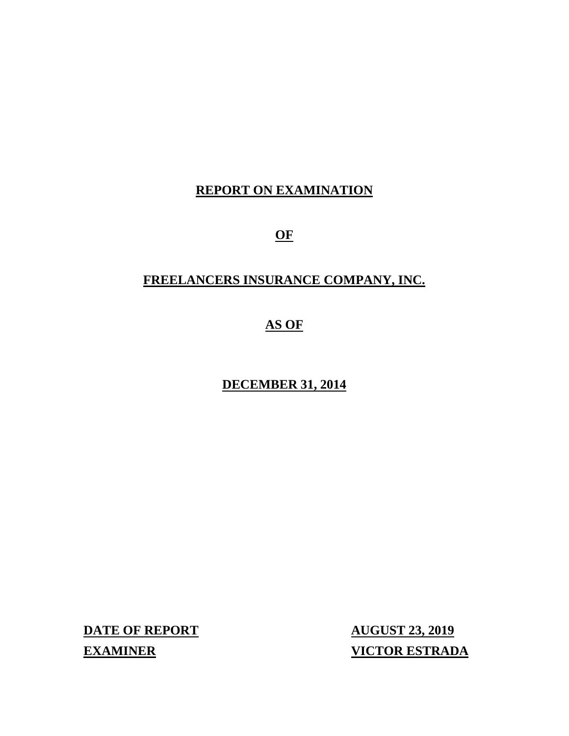# **REPORT ON EXAMINATION**

**OF**

# **FREELANCERS INSURANCE COMPANY, INC.**

# **AS OF**

# **DECEMBER 31, 2014**

**DATE OF REPORT AUGUST 23, 2019**

**EXAMINER VICTOR ESTRADA**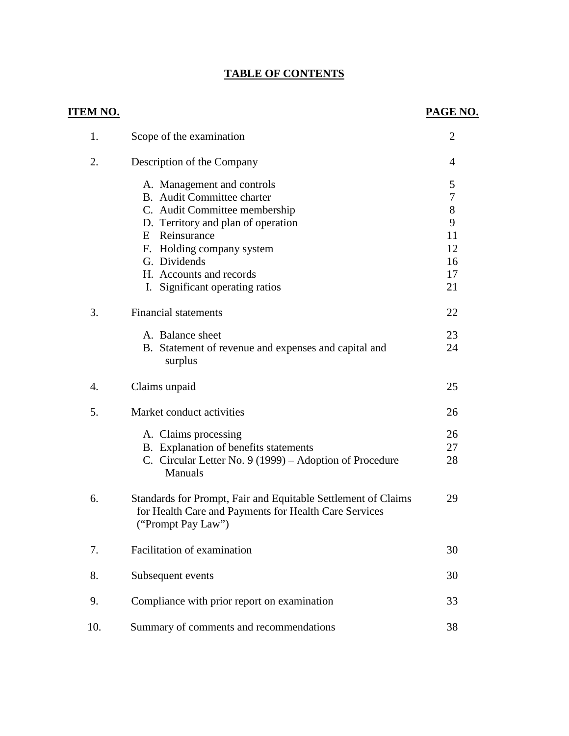# **TABLE OF CONTENTS**

| <b>ITEM NO.</b> |                                                                                                                                              | <b>PAGE NO.</b>  |
|-----------------|----------------------------------------------------------------------------------------------------------------------------------------------|------------------|
| 1.              | Scope of the examination                                                                                                                     | $\overline{2}$   |
| 2.              | Description of the Company                                                                                                                   | 4                |
|                 | A. Management and controls                                                                                                                   | 5                |
|                 | B. Audit Committee charter                                                                                                                   | $\boldsymbol{7}$ |
|                 | C. Audit Committee membership                                                                                                                | 8                |
|                 | D. Territory and plan of operation                                                                                                           | 9                |
|                 | E Reinsurance                                                                                                                                | 11               |
|                 | F. Holding company system                                                                                                                    | 12               |
|                 | G. Dividends                                                                                                                                 | 16               |
|                 | H. Accounts and records                                                                                                                      | 17               |
|                 | I. Significant operating ratios                                                                                                              | 21               |
| 3.              | <b>Financial statements</b>                                                                                                                  | 22               |
|                 | A. Balance sheet                                                                                                                             | 23               |
|                 | B. Statement of revenue and expenses and capital and<br>surplus                                                                              | 24               |
| 4.              | Claims unpaid                                                                                                                                | 25               |
| 5.              | Market conduct activities                                                                                                                    | 26               |
|                 | A. Claims processing                                                                                                                         | 26               |
|                 | B. Explanation of benefits statements                                                                                                        | 27               |
|                 | C. Circular Letter No. 9 (1999) – Adoption of Procedure<br><b>Manuals</b>                                                                    | 28               |
| 6.              | Standards for Prompt, Fair and Equitable Settlement of Claims<br>for Health Care and Payments for Health Care Services<br>("Prompt Pay Law") | 29               |
| 7.              | Facilitation of examination                                                                                                                  | 30               |
| 8.              | Subsequent events                                                                                                                            | 30               |
| 9.              | Compliance with prior report on examination                                                                                                  | 33               |
| 10.             | Summary of comments and recommendations                                                                                                      | 38               |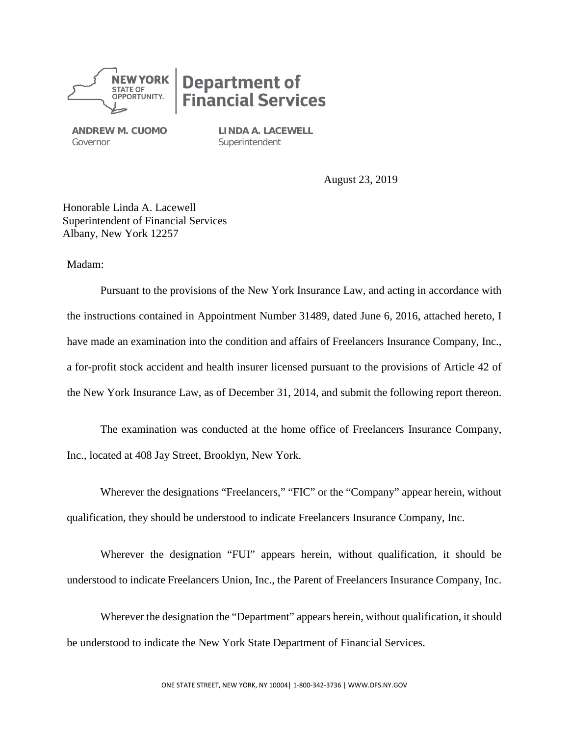

# **Department of<br>Financial Services**

**ANDREW M. CUOMO** Governor

**LINDA A. LACEWELL Superintendent** 

August 23, 2019

Honorable Linda A. Lacewell Superintendent of Financial Services Albany, New York 12257

Madam:

Pursuant to the provisions of the New York Insurance Law, and acting in accordance with the instructions contained in Appointment Number 31489, dated June 6, 2016, attached hereto, I have made an examination into the condition and affairs of Freelancers Insurance Company, Inc., a for-profit stock accident and health insurer licensed pursuant to the provisions of Article 42 of the New York Insurance Law, as of December 31, 2014, and submit the following report thereon.

The examination was conducted at the home office of Freelancers Insurance Company, Inc., located at 408 Jay Street, Brooklyn, New York.

Wherever the designations "Freelancers," "FIC" or the "Company" appear herein, without qualification, they should be understood to indicate Freelancers Insurance Company, Inc.

Wherever the designation "FUI" appears herein, without qualification, it should be understood to indicate Freelancers Union, Inc., the Parent of Freelancers Insurance Company, Inc.

Wherever the designation the "Department" appears herein, without qualification, it should be understood to indicate the New York State Department of Financial Services.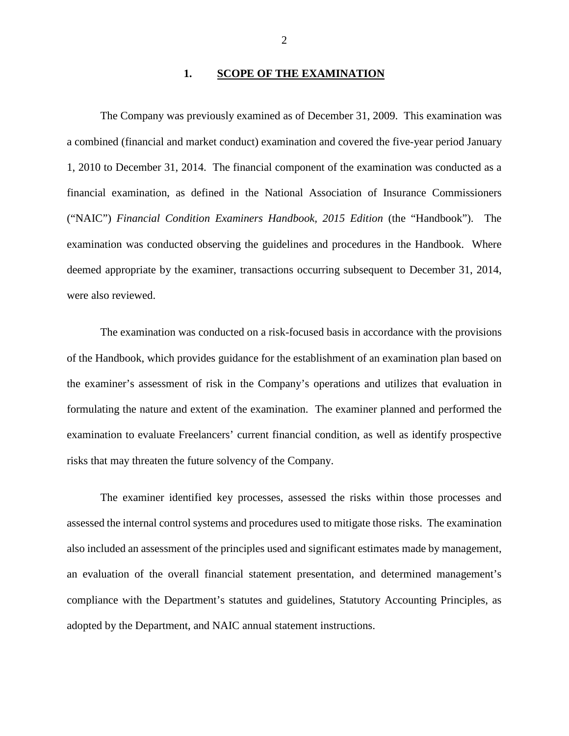#### **1. SCOPE OF THE EXAMINATION**

The Company was previously examined as of December 31, 2009. This examination was a combined (financial and market conduct) examination and covered the five-year period January 1, 2010 to December 31, 2014. The financial component of the examination was conducted as a financial examination, as defined in the National Association of Insurance Commissioners ("NAIC") *Financial Condition Examiners Handbook, 2015 Edition* (the "Handbook"). The examination was conducted observing the guidelines and procedures in the Handbook. Where deemed appropriate by the examiner, transactions occurring subsequent to December 31, 2014, were also reviewed.

The examination was conducted on a risk-focused basis in accordance with the provisions of the Handbook, which provides guidance for the establishment of an examination plan based on the examiner's assessment of risk in the Company's operations and utilizes that evaluation in formulating the nature and extent of the examination. The examiner planned and performed the examination to evaluate Freelancers' current financial condition, as well as identify prospective risks that may threaten the future solvency of the Company.

The examiner identified key processes, assessed the risks within those processes and assessed the internal control systems and procedures used to mitigate those risks. The examination also included an assessment of the principles used and significant estimates made by management, an evaluation of the overall financial statement presentation, and determined management's compliance with the Department's statutes and guidelines, Statutory Accounting Principles, as adopted by the Department, and NAIC annual statement instructions.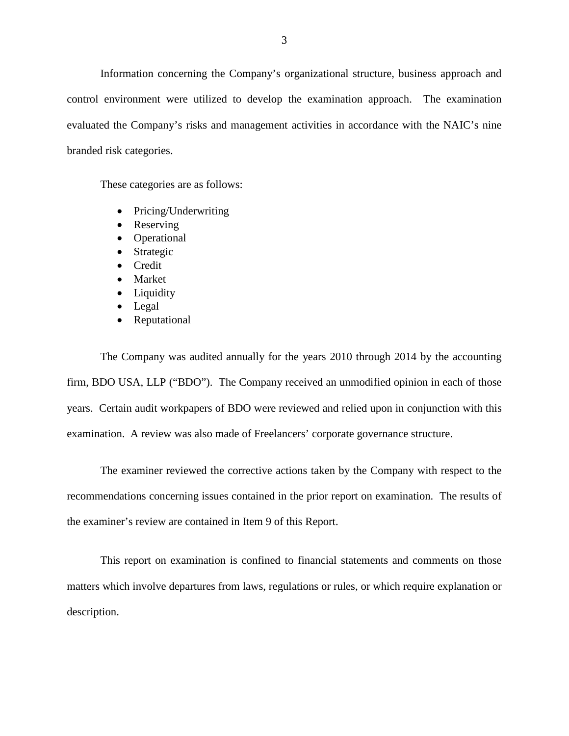Information concerning the Company's organizational structure, business approach and control environment were utilized to develop the examination approach. The examination evaluated the Company's risks and management activities in accordance with the NAIC's nine branded risk categories.

These categories are as follows:

- Pricing/Underwriting
- Reserving
- Operational
- Strategic
- Credit
- Market
- Liquidity
- Legal
- Reputational

The Company was audited annually for the years 2010 through 2014 by the accounting firm, BDO USA, LLP ("BDO"). The Company received an unmodified opinion in each of those years. Certain audit workpapers of BDO were reviewed and relied upon in conjunction with this examination. A review was also made of Freelancers' corporate governance structure.

The examiner reviewed the corrective actions taken by the Company with respect to the recommendations concerning issues contained in the prior report on examination. The results of the examiner's review are contained in Item 9 of this Report.

This report on examination is confined to financial statements and comments on those matters which involve departures from laws, regulations or rules, or which require explanation or description.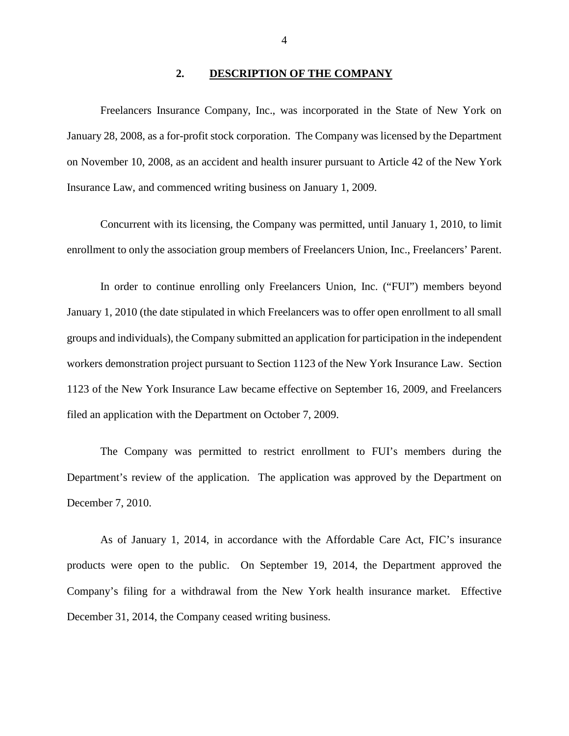#### **2. DESCRIPTION OF THE COMPANY**

Freelancers Insurance Company, Inc., was incorporated in the State of New York on January 28, 2008, as a for-profit stock corporation. The Company was licensed by the Department on November 10, 2008, as an accident and health insurer pursuant to Article 42 of the New York Insurance Law, and commenced writing business on January 1, 2009.

Concurrent with its licensing, the Company was permitted, until January 1, 2010, to limit enrollment to only the association group members of Freelancers Union, Inc., Freelancers' Parent.

In order to continue enrolling only Freelancers Union, Inc. ("FUI") members beyond January 1, 2010 (the date stipulated in which Freelancers was to offer open enrollment to all small groups and individuals), the Company submitted an application for participation in the independent workers demonstration project pursuant to Section 1123 of the New York Insurance Law. Section 1123 of the New York Insurance Law became effective on September 16, 2009, and Freelancers filed an application with the Department on October 7, 2009.

The Company was permitted to restrict enrollment to FUI's members during the Department's review of the application. The application was approved by the Department on December 7, 2010.

As of January 1, 2014, in accordance with the Affordable Care Act, FIC's insurance products were open to the public. On September 19, 2014, the Department approved the Company's filing for a withdrawal from the New York health insurance market. Effective December 31, 2014, the Company ceased writing business.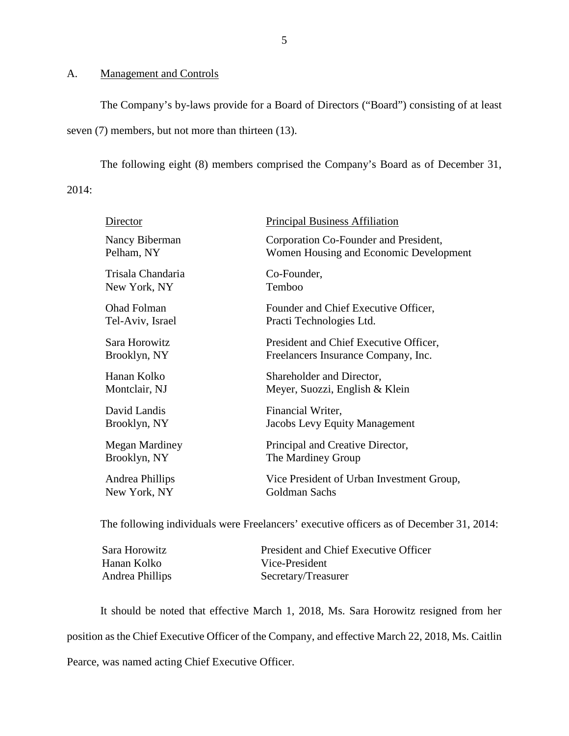#### A. Management and Controls

The Company's by-laws provide for a Board of Directors ("Board") consisting of at least seven (7) members, but not more than thirteen (13).

The following eight (8) members comprised the Company's Board as of December 31,

2014:

| Director           | <b>Principal Business Affiliation</b>     |
|--------------------|-------------------------------------------|
| Nancy Biberman     | Corporation Co-Founder and President,     |
| Pelham, NY         | Women Housing and Economic Development    |
| Trisala Chandaria  | Co-Founder,                               |
| New York, NY       | Temboo                                    |
| <b>Ohad Folman</b> | Founder and Chief Executive Officer,      |
| Tel-Aviv, Israel   | Practi Technologies Ltd.                  |
| Sara Horowitz      | President and Chief Executive Officer,    |
| Brooklyn, NY       | Freelancers Insurance Company, Inc.       |
| Hanan Kolko        | Shareholder and Director,                 |
| Montclair, NJ      | Meyer, Suozzi, English & Klein            |
| David Landis       | Financial Writer,                         |
| Brooklyn, NY       | Jacobs Levy Equity Management             |
| Megan Mardiney     | Principal and Creative Director,          |
| Brooklyn, NY       | The Mardiney Group                        |
| Andrea Phillips    | Vice President of Urban Investment Group, |
| New York, NY       | Goldman Sachs                             |
|                    |                                           |

The following individuals were Freelancers' executive officers as of December 31, 2014:

| Sara Horowitz   | President and Chief Executive Officer |
|-----------------|---------------------------------------|
| Hanan Kolko     | Vice-President                        |
| Andrea Phillips | Secretary/Treasurer                   |

It should be noted that effective March 1, 2018, Ms. Sara Horowitz resigned from her position as the Chief Executive Officer of the Company, and effective March 22, 2018, Ms. Caitlin Pearce, was named acting Chief Executive Officer.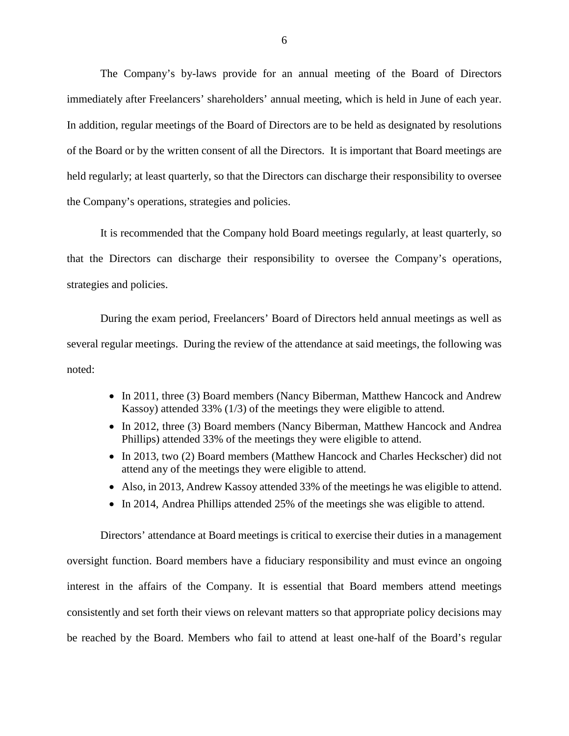The Company's by-laws provide for an annual meeting of the Board of Directors immediately after Freelancers' shareholders' annual meeting, which is held in June of each year. In addition, regular meetings of the Board of Directors are to be held as designated by resolutions of the Board or by the written consent of all the Directors. It is important that Board meetings are held regularly; at least quarterly, so that the Directors can discharge their responsibility to oversee the Company's operations, strategies and policies.

It is recommended that the Company hold Board meetings regularly, at least quarterly, so that the Directors can discharge their responsibility to oversee the Company's operations, strategies and policies.

During the exam period, Freelancers' Board of Directors held annual meetings as well as several regular meetings. During the review of the attendance at said meetings, the following was noted:

- In 2011, three (3) Board members (Nancy Biberman, Matthew Hancock and Andrew Kassoy) attended 33% (1/3) of the meetings they were eligible to attend.
- In 2012, three (3) Board members (Nancy Biberman, Matthew Hancock and Andrea Phillips) attended 33% of the meetings they were eligible to attend.
- In 2013, two (2) Board members (Matthew Hancock and Charles Heckscher) did not attend any of the meetings they were eligible to attend.
- Also, in 2013, Andrew Kassoy attended 33% of the meetings he was eligible to attend.
- In 2014, Andrea Phillips attended 25% of the meetings she was eligible to attend.

Directors' attendance at Board meetings is critical to exercise their duties in a management oversight function. Board members have a fiduciary responsibility and must evince an ongoing interest in the affairs of the Company. It is essential that Board members attend meetings consistently and set forth their views on relevant matters so that appropriate policy decisions may be reached by the Board. Members who fail to attend at least one-half of the Board's regular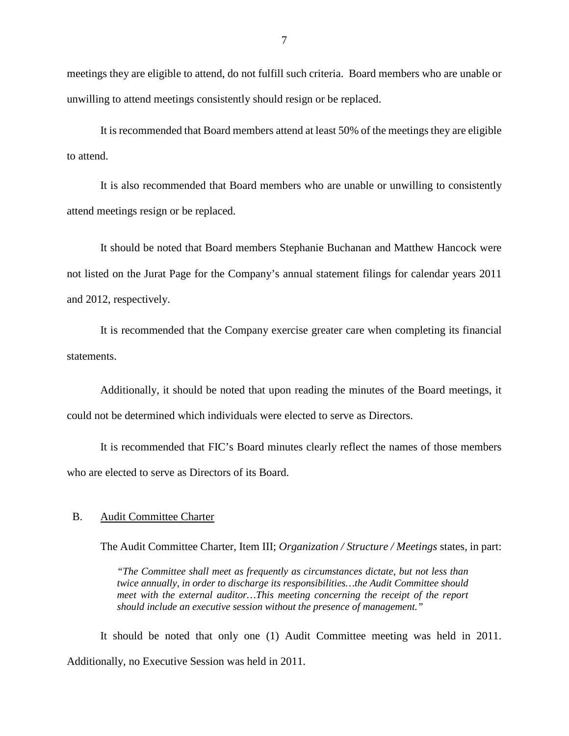meetings they are eligible to attend, do not fulfill such criteria. Board members who are unable or unwilling to attend meetings consistently should resign or be replaced.

It is recommended that Board members attend at least 50% of the meetings they are eligible to attend.

It is also recommended that Board members who are unable or unwilling to consistently attend meetings resign or be replaced.

It should be noted that Board members Stephanie Buchanan and Matthew Hancock were not listed on the Jurat Page for the Company's annual statement filings for calendar years 2011 and 2012, respectively.

It is recommended that the Company exercise greater care when completing its financial statements.

Additionally, it should be noted that upon reading the minutes of the Board meetings, it could not be determined which individuals were elected to serve as Directors.

It is recommended that FIC's Board minutes clearly reflect the names of those members who are elected to serve as Directors of its Board.

#### B. Audit Committee Charter

The Audit Committee Charter, Item III; *Organization / Structure / Meetings* states, in part:

*"The Committee shall meet as frequently as circumstances dictate, but not less than twice annually, in order to discharge its responsibilities…the Audit Committee should meet with the external auditor…This meeting concerning the receipt of the report should include an executive session without the presence of management."* 

It should be noted that only one (1) Audit Committee meeting was held in 2011. Additionally, no Executive Session was held in 2011.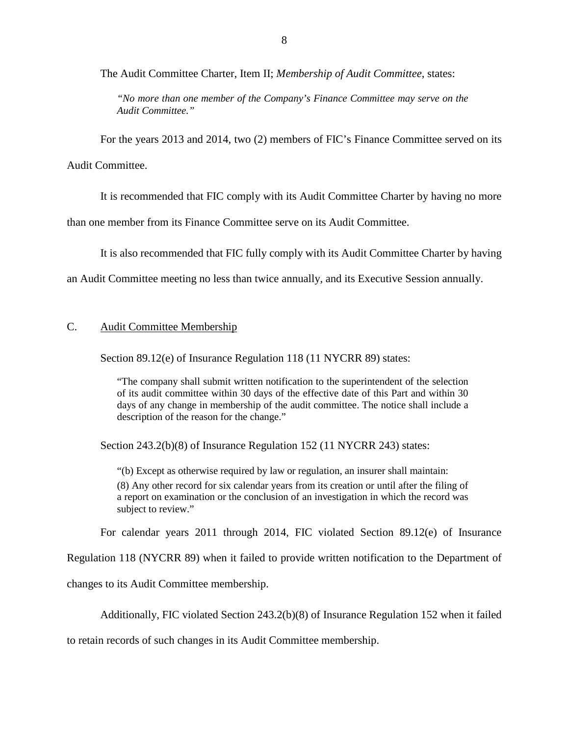The Audit Committee Charter, Item II; *Membership of Audit Committee*, states:

*"No more than one member of the Company's Finance Committee may serve on the Audit Committee."*

For the years 2013 and 2014, two (2) members of FIC's Finance Committee served on its

Audit Committee.

It is recommended that FIC comply with its Audit Committee Charter by having no more

than one member from its Finance Committee serve on its Audit Committee.

It is also recommended that FIC fully comply with its Audit Committee Charter by having

an Audit Committee meeting no less than twice annually, and its Executive Session annually.

#### C. Audit Committee Membership

Section 89.12(e) of Insurance Regulation 118 (11 NYCRR 89) states:

"The company shall submit written notification to the superintendent of the selection of its audit committee within 30 days of the effective date of this Part and within 30 days of any change in membership of the audit committee. The notice shall include a description of the reason for the change."

Section 243.2(b)(8) of Insurance Regulation 152 (11 NYCRR 243) states:

"(b) Except as otherwise required by law or regulation, an insurer shall maintain: (8) Any other record for six calendar years from its creation or until after the filing of a report on examination or the conclusion of an investigation in which the record was subject to review."

For calendar years 2011 through 2014, FIC violated Section 89.12(e) of Insurance

Regulation 118 (NYCRR 89) when it failed to provide written notification to the Department of

changes to its Audit Committee membership.

Additionally, FIC violated Section 243.2(b)(8) of Insurance Regulation 152 when it failed

to retain records of such changes in its Audit Committee membership.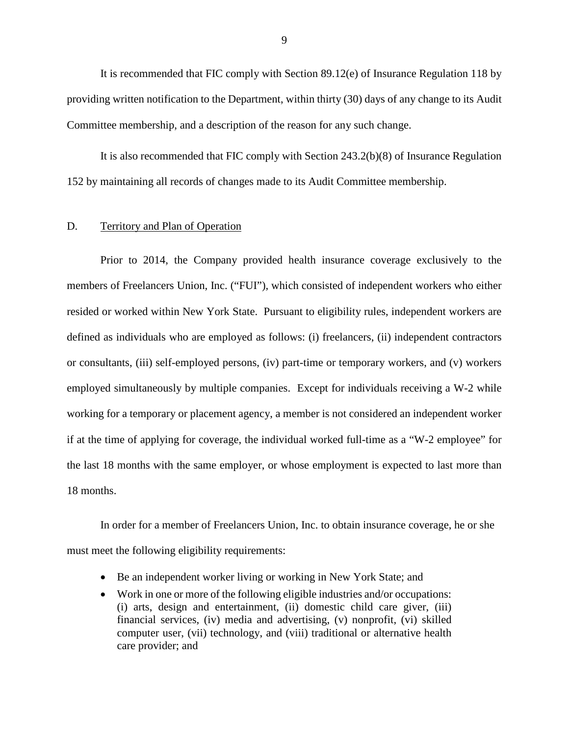It is recommended that FIC comply with Section 89.12(e) of Insurance Regulation 118 by providing written notification to the Department, within thirty (30) days of any change to its Audit Committee membership, and a description of the reason for any such change.

It is also recommended that FIC comply with Section 243.2(b)(8) of Insurance Regulation 152 by maintaining all records of changes made to its Audit Committee membership.

#### D. Territory and Plan of Operation

Prior to 2014, the Company provided health insurance coverage exclusively to the members of Freelancers Union, Inc. ("FUI"), which consisted of independent workers who either resided or worked within New York State. Pursuant to eligibility rules, independent workers are defined as individuals who are employed as follows: (i) freelancers, (ii) independent contractors or consultants, (iii) self-employed persons, (iv) part-time or temporary workers, and (v) workers employed simultaneously by multiple companies. Except for individuals receiving a W-2 while working for a temporary or placement agency, a member is not considered an independent worker if at the time of applying for coverage, the individual worked full-time as a "W-2 employee" for the last 18 months with the same employer, or whose employment is expected to last more than 18 months.

In order for a member of Freelancers Union, Inc. to obtain insurance coverage, he or she must meet the following eligibility requirements:

- Be an independent worker living or working in New York State; and
- Work in one or more of the following eligible industries and/or occupations: (i) arts, design and entertainment, (ii) domestic child care giver, (iii) financial services, (iv) media and advertising, (v) nonprofit, (vi) skilled computer user, (vii) technology, and (viii) traditional or alternative health care provider; and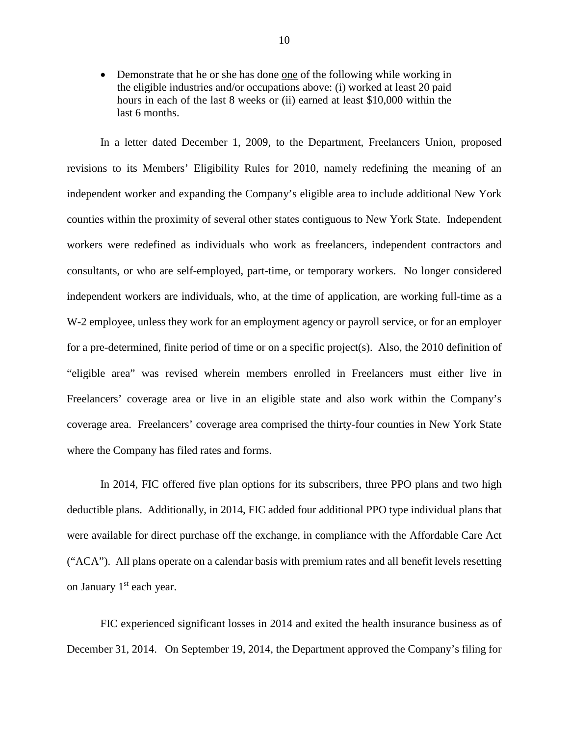• Demonstrate that he or she has done one of the following while working in the eligible industries and/or occupations above: (i) worked at least 20 paid hours in each of the last 8 weeks or (ii) earned at least \$10,000 within the last 6 months.

In a letter dated December 1, 2009, to the Department, Freelancers Union, proposed revisions to its Members' Eligibility Rules for 2010, namely redefining the meaning of an independent worker and expanding the Company's eligible area to include additional New York counties within the proximity of several other states contiguous to New York State. Independent workers were redefined as individuals who work as freelancers, independent contractors and consultants, or who are self-employed, part-time, or temporary workers. No longer considered independent workers are individuals, who, at the time of application, are working full-time as a W-2 employee, unless they work for an employment agency or payroll service, or for an employer for a pre-determined, finite period of time or on a specific project(s). Also, the 2010 definition of "eligible area" was revised wherein members enrolled in Freelancers must either live in Freelancers' coverage area or live in an eligible state and also work within the Company's coverage area. Freelancers' coverage area comprised the thirty-four counties in New York State where the Company has filed rates and forms.

In 2014, FIC offered five plan options for its subscribers, three PPO plans and two high deductible plans. Additionally, in 2014, FIC added four additional PPO type individual plans that were available for direct purchase off the exchange, in compliance with the Affordable Care Act ("ACA"). All plans operate on a calendar basis with premium rates and all benefit levels resetting on January  $1<sup>st</sup>$  each year.

FIC experienced significant losses in 2014 and exited the health insurance business as of December 31, 2014. On September 19, 2014, the Department approved the Company's filing for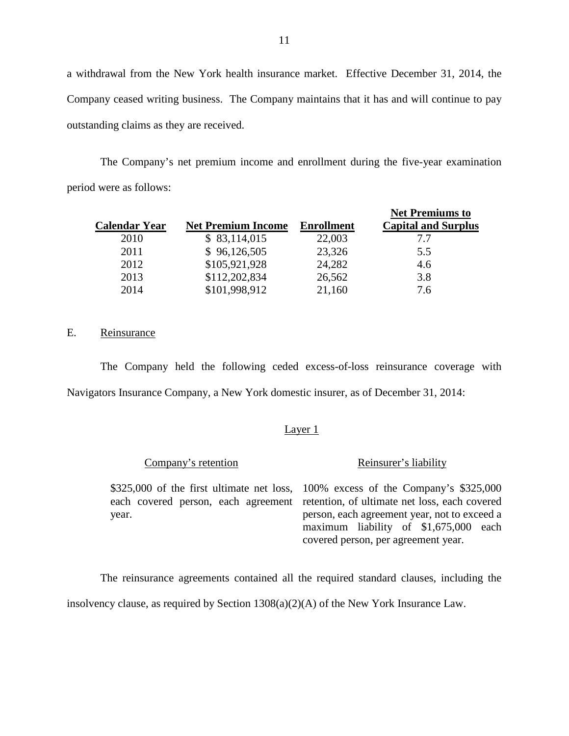a withdrawal from the New York health insurance market. Effective December 31, 2014, the Company ceased writing business. The Company maintains that it has and will continue to pay outstanding claims as they are received.

The Company's net premium income and enrollment during the five-year examination period were as follows:

|                      |                           |                   | <b>Net Premiums to</b>     |
|----------------------|---------------------------|-------------------|----------------------------|
| <b>Calendar Year</b> | <b>Net Premium Income</b> | <b>Enrollment</b> | <b>Capital and Surplus</b> |
| 2010                 | \$83,114,015              | 22,003            | 7.7                        |
| 2011                 | \$96,126,505              | 23,326            | 5.5                        |
| 2012                 | \$105,921,928             | 24,282            | 4.6                        |
| 2013                 | \$112,202,834             | 26,562            | 3.8                        |
| 2014                 | \$101,998,912             | 21,160            | 7.6                        |

#### E. Reinsurance

The Company held the following ceded excess-of-loss reinsurance coverage with Navigators Insurance Company, a New York domestic insurer, as of December 31, 2014:

#### Layer 1

Company's retention

Reinsurer's liability

\$325,000 of the first ultimate net loss, each covered person, each agreement year.

100% excess of the Company's \$325,000 retention, of ultimate net loss, each covered person, each agreement year, not to exceed a maximum liability of \$1,675,000 each covered person, per agreement year.

The reinsurance agreements contained all the required standard clauses, including the insolvency clause, as required by Section 1308(a)(2)(A) of the New York Insurance Law.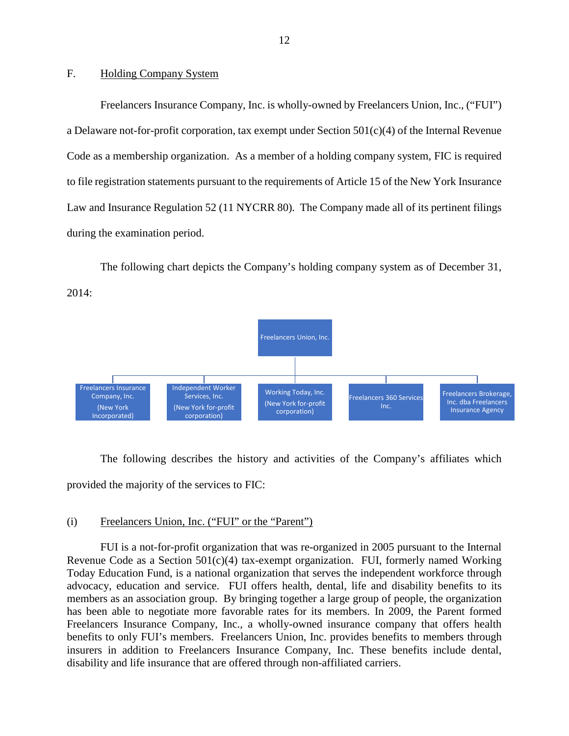#### F. Holding Company System

Freelancers Insurance Company, Inc. is wholly-owned by Freelancers Union, Inc., ("FUI") a Delaware not-for-profit corporation, tax exempt under Section 501(c)(4) of the Internal Revenue Code as a membership organization. As a member of a holding company system, FIC is required to file registration statements pursuant to the requirements of Article 15 of the New York Insurance Law and Insurance Regulation 52 (11 NYCRR 80). The Company made all of its pertinent filings during the examination period.

The following chart depicts the Company's holding company system as of December 31, 2014:



The following describes the history and activities of the Company's affiliates which provided the majority of the services to FIC:

#### (i) Freelancers Union, Inc. ("FUI" or the "Parent")

FUI is a not-for-profit organization that was re-organized in 2005 pursuant to the Internal Revenue Code as a Section  $501(c)(4)$  tax-exempt organization. FUI, formerly named Working Today Education Fund, is a national organization that serves the independent workforce through advocacy, education and service. FUI offers health, dental, life and disability benefits to its members as an association group. By bringing together a large group of people, the organization has been able to negotiate more favorable rates for its members. In 2009, the Parent formed Freelancers Insurance Company, Inc., a wholly-owned insurance company that offers health benefits to only FUI's members. Freelancers Union, Inc. provides benefits to members through insurers in addition to Freelancers Insurance Company, Inc. These benefits include dental, disability and life insurance that are offered through non-affiliated carriers.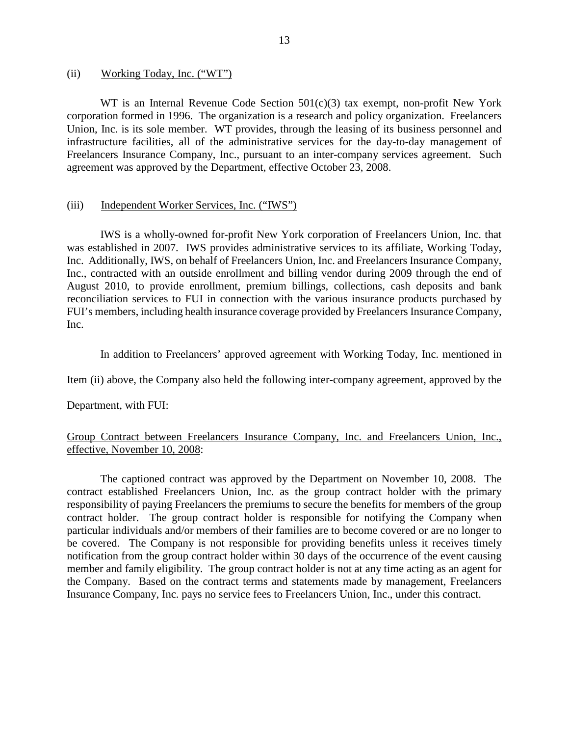#### (ii) Working Today, Inc. ("WT")

WT is an Internal Revenue Code Section 501(c)(3) tax exempt, non-profit New York corporation formed in 1996. The organization is a research and policy organization. Freelancers Union, Inc. is its sole member. WT provides, through the leasing of its business personnel and infrastructure facilities, all of the administrative services for the day-to-day management of Freelancers Insurance Company, Inc., pursuant to an inter-company services agreement. Such agreement was approved by the Department, effective October 23, 2008.

#### (iii) Independent Worker Services, Inc. ("IWS")

IWS is a wholly-owned for-profit New York corporation of Freelancers Union, Inc. that was established in 2007. IWS provides administrative services to its affiliate, Working Today, Inc. Additionally, IWS, on behalf of Freelancers Union, Inc. and Freelancers Insurance Company, Inc., contracted with an outside enrollment and billing vendor during 2009 through the end of August 2010, to provide enrollment, premium billings, collections, cash deposits and bank reconciliation services to FUI in connection with the various insurance products purchased by FUI's members, including health insurance coverage provided by Freelancers Insurance Company, Inc.

In addition to Freelancers' approved agreement with Working Today, Inc. mentioned in

Item (ii) above, the Company also held the following inter-company agreement, approved by the

Department, with FUI:

#### Group Contract between Freelancers Insurance Company, Inc. and Freelancers Union, Inc., effective, November 10, 2008:

The captioned contract was approved by the Department on November 10, 2008. The contract established Freelancers Union, Inc. as the group contract holder with the primary responsibility of paying Freelancers the premiums to secure the benefits for members of the group contract holder. The group contract holder is responsible for notifying the Company when particular individuals and/or members of their families are to become covered or are no longer to be covered. The Company is not responsible for providing benefits unless it receives timely notification from the group contract holder within 30 days of the occurrence of the event causing member and family eligibility. The group contract holder is not at any time acting as an agent for the Company. Based on the contract terms and statements made by management, Freelancers Insurance Company, Inc. pays no service fees to Freelancers Union, Inc., under this contract.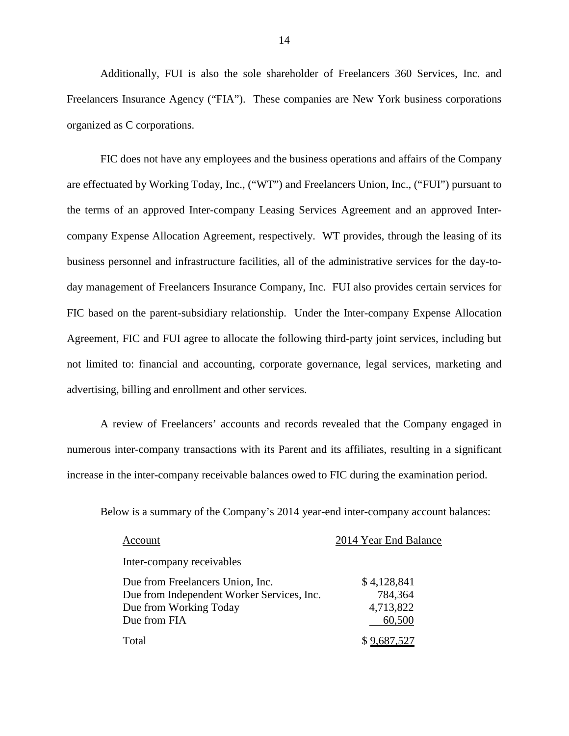Additionally, FUI is also the sole shareholder of Freelancers 360 Services, Inc. and Freelancers Insurance Agency ("FIA"). These companies are New York business corporations organized as C corporations.

FIC does not have any employees and the business operations and affairs of the Company are effectuated by Working Today, Inc., ("WT") and Freelancers Union, Inc., ("FUI") pursuant to the terms of an approved Inter-company Leasing Services Agreement and an approved Intercompany Expense Allocation Agreement, respectively. WT provides, through the leasing of its business personnel and infrastructure facilities, all of the administrative services for the day-today management of Freelancers Insurance Company, Inc. FUI also provides certain services for FIC based on the parent-subsidiary relationship. Under the Inter-company Expense Allocation Agreement, FIC and FUI agree to allocate the following third-party joint services, including but not limited to: financial and accounting, corporate governance, legal services, marketing and advertising, billing and enrollment and other services.

A review of Freelancers' accounts and records revealed that the Company engaged in numerous inter-company transactions with its Parent and its affiliates, resulting in a significant increase in the inter-company receivable balances owed to FIC during the examination period.

Below is a summary of the Company's 2014 year-end inter-company account balances:

| Account                                    | 2014 Year End Balance |
|--------------------------------------------|-----------------------|
| Inter-company receivables                  |                       |
| Due from Freelancers Union, Inc.           | \$4,128,841           |
| Due from Independent Worker Services, Inc. | 784,364               |
| Due from Working Today                     | 4,713,822             |
| Due from FIA                               | 60,500                |
| Total                                      | \$9,687,527           |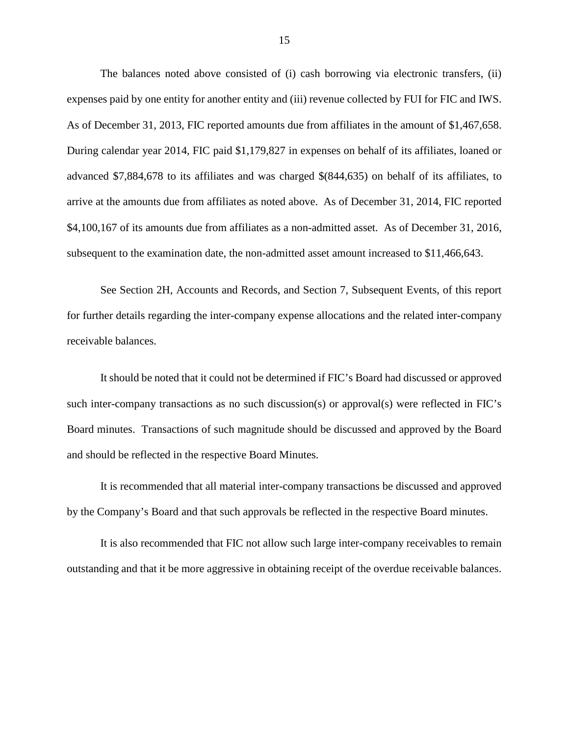The balances noted above consisted of (i) cash borrowing via electronic transfers, (ii) expenses paid by one entity for another entity and (iii) revenue collected by FUI for FIC and IWS. As of December 31, 2013, FIC reported amounts due from affiliates in the amount of \$1,467,658. During calendar year 2014, FIC paid \$1,179,827 in expenses on behalf of its affiliates, loaned or advanced \$7,884,678 to its affiliates and was charged \$(844,635) on behalf of its affiliates, to arrive at the amounts due from affiliates as noted above. As of December 31, 2014, FIC reported \$4,100,167 of its amounts due from affiliates as a non-admitted asset. As of December 31, 2016, subsequent to the examination date, the non-admitted asset amount increased to \$11,466,643.

See Section 2H, Accounts and Records, and Section 7, Subsequent Events, of this report for further details regarding the inter-company expense allocations and the related inter-company receivable balances.

It should be noted that it could not be determined if FIC's Board had discussed or approved such inter-company transactions as no such discussion(s) or approval(s) were reflected in FIC's Board minutes. Transactions of such magnitude should be discussed and approved by the Board and should be reflected in the respective Board Minutes.

It is recommended that all material inter-company transactions be discussed and approved by the Company's Board and that such approvals be reflected in the respective Board minutes.

It is also recommended that FIC not allow such large inter-company receivables to remain outstanding and that it be more aggressive in obtaining receipt of the overdue receivable balances.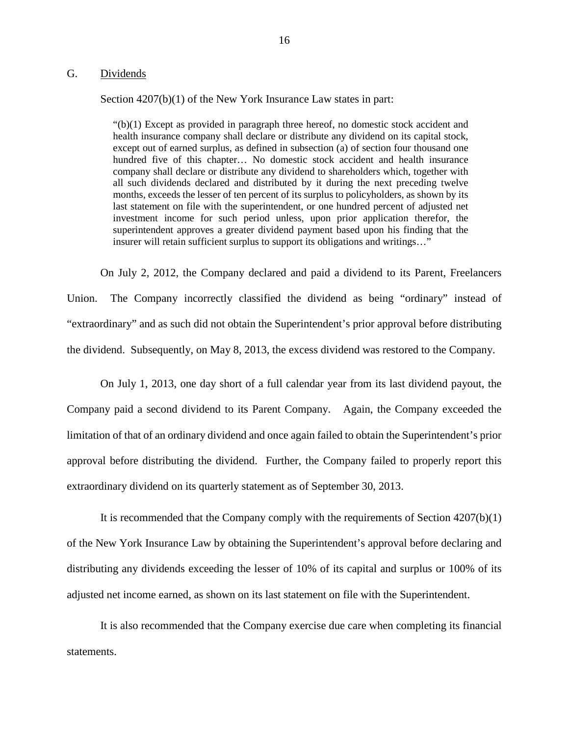#### G. Dividends

Section  $4207(b)(1)$  of the New York Insurance Law states in part:

 $\degree$ (b)(1) Except as provided in paragraph three hereof, no domestic stock accident and health insurance company shall declare or distribute any dividend on its capital stock, except out of earned surplus, as defined in subsection (a) of section four thousand one hundred five of this chapter… No domestic stock accident and health insurance company shall declare or distribute any dividend to shareholders which, together with all such dividends declared and distributed by it during the next preceding twelve months, exceeds the lesser of ten percent of its surplus to policyholders, as shown by its last statement on file with the superintendent, or one hundred percent of adjusted net investment income for such period unless, upon prior application therefor, the superintendent approves a greater dividend payment based upon his finding that the insurer will retain sufficient surplus to support its obligations and writings…"

On July 2, 2012, the Company declared and paid a dividend to its Parent, Freelancers Union. The Company incorrectly classified the dividend as being "ordinary" instead of "extraordinary" and as such did not obtain the Superintendent's prior approval before distributing the dividend. Subsequently, on May 8, 2013, the excess dividend was restored to the Company.

On July 1, 2013, one day short of a full calendar year from its last dividend payout, the Company paid a second dividend to its Parent Company. Again, the Company exceeded the limitation of that of an ordinary dividend and once again failed to obtain the Superintendent's prior approval before distributing the dividend. Further, the Company failed to properly report this extraordinary dividend on its quarterly statement as of September 30, 2013.

It is recommended that the Company comply with the requirements of Section 4207(b)(1) of the New York Insurance Law by obtaining the Superintendent's approval before declaring and distributing any dividends exceeding the lesser of 10% of its capital and surplus or 100% of its adjusted net income earned, as shown on its last statement on file with the Superintendent.

It is also recommended that the Company exercise due care when completing its financial statements.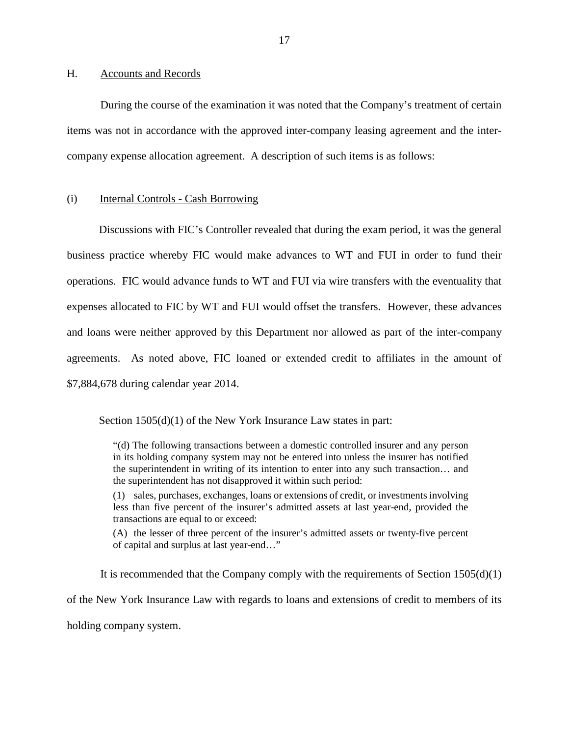#### H. Accounts and Records

During the course of the examination it was noted that the Company's treatment of certain items was not in accordance with the approved inter-company leasing agreement and the intercompany expense allocation agreement. A description of such items is as follows:

#### (i) Internal Controls - Cash Borrowing

Discussions with FIC's Controller revealed that during the exam period, it was the general business practice whereby FIC would make advances to WT and FUI in order to fund their operations. FIC would advance funds to WT and FUI via wire transfers with the eventuality that expenses allocated to FIC by WT and FUI would offset the transfers. However, these advances and loans were neither approved by this Department nor allowed as part of the inter-company agreements. As noted above, FIC loaned or extended credit to affiliates in the amount of \$7,884,678 during calendar year 2014.

Section  $1505(d)(1)$  of the New York Insurance Law states in part:

"(d) The following transactions between a domestic controlled insurer and any person in its holding company system may not be entered into unless the insurer has notified the superintendent in writing of its intention to enter into any such transaction… and the superintendent has not disapproved it within such period:

(1) sales, purchases, exchanges, loans or extensions of credit, or investments involving less than five percent of the insurer's admitted assets at last year-end, provided the transactions are equal to or exceed:

(A) the lesser of three percent of the insurer's admitted assets or twenty-five percent of capital and surplus at last year-end…"

It is recommended that the Company comply with the requirements of Section  $1505(d)(1)$ of the New York Insurance Law with regards to loans and extensions of credit to members of its holding company system.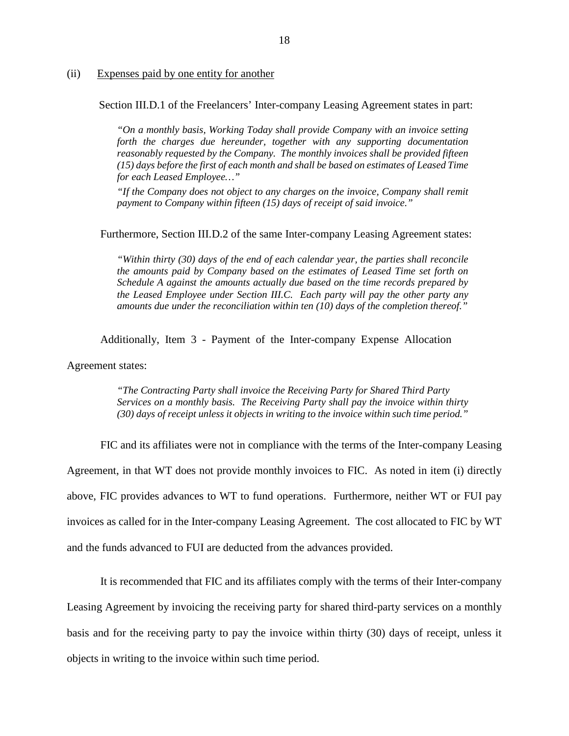#### (ii) Expenses paid by one entity for another

Section III.D.1 of the Freelancers' Inter-company Leasing Agreement states in part:

*"On a monthly basis, Working Today shall provide Company with an invoice setting forth the charges due hereunder, together with any supporting documentation reasonably requested by the Company. The monthly invoices shall be provided fifteen (15) days before the first of each month and shall be based on estimates of Leased Time for each Leased Employee…"*

*"If the Company does not object to any charges on the invoice, Company shall remit payment to Company within fifteen (15) days of receipt of said invoice."*

#### Furthermore, Section III.D.2 of the same Inter-company Leasing Agreement states:

*"Within thirty (30) days of the end of each calendar year, the parties shall reconcile the amounts paid by Company based on the estimates of Leased Time set forth on Schedule A against the amounts actually due based on the time records prepared by the Leased Employee under Section III.C. Each party will pay the other party any amounts due under the reconciliation within ten (10) days of the completion thereof."*

Additionally, Item 3 - Payment of the Inter-company Expense Allocation

Agreement states:

*"The Contracting Party shall invoice the Receiving Party for Shared Third Party Services on a monthly basis. The Receiving Party shall pay the invoice within thirty (30) days of receipt unless it objects in writing to the invoice within such time period."*

FIC and its affiliates were not in compliance with the terms of the Inter-company Leasing Agreement, in that WT does not provide monthly invoices to FIC. As noted in item (i) directly above, FIC provides advances to WT to fund operations. Furthermore, neither WT or FUI pay invoices as called for in the Inter-company Leasing Agreement. The cost allocated to FIC by WT and the funds advanced to FUI are deducted from the advances provided.

It is recommended that FIC and its affiliates comply with the terms of their Inter-company Leasing Agreement by invoicing the receiving party for shared third-party services on a monthly basis and for the receiving party to pay the invoice within thirty (30) days of receipt, unless it objects in writing to the invoice within such time period.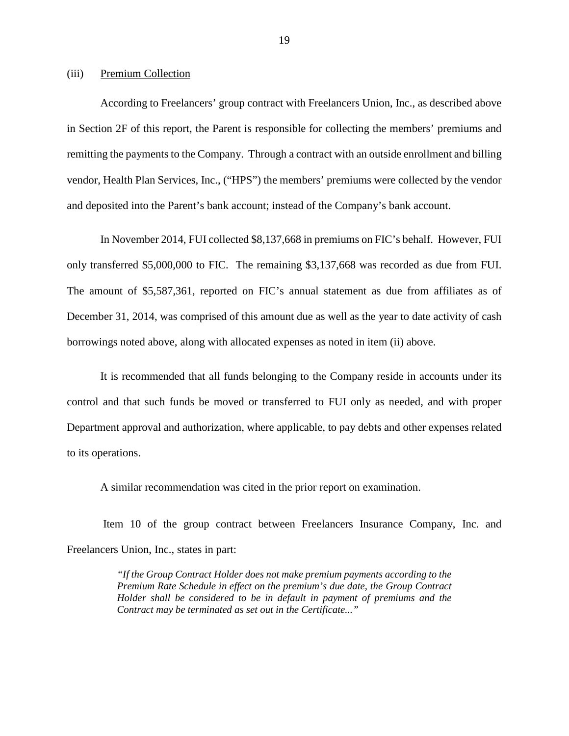#### (iii) Premium Collection

According to Freelancers' group contract with Freelancers Union, Inc., as described above in Section 2F of this report, the Parent is responsible for collecting the members' premiums and remitting the payments to the Company. Through a contract with an outside enrollment and billing vendor, Health Plan Services, Inc., ("HPS") the members' premiums were collected by the vendor and deposited into the Parent's bank account; instead of the Company's bank account.

In November 2014, FUI collected \$8,137,668 in premiums on FIC's behalf. However, FUI only transferred \$5,000,000 to FIC. The remaining \$3,137,668 was recorded as due from FUI. The amount of \$5,587,361, reported on FIC's annual statement as due from affiliates as of December 31, 2014, was comprised of this amount due as well as the year to date activity of cash borrowings noted above, along with allocated expenses as noted in item (ii) above.

It is recommended that all funds belonging to the Company reside in accounts under its control and that such funds be moved or transferred to FUI only as needed, and with proper Department approval and authorization, where applicable, to pay debts and other expenses related to its operations.

A similar recommendation was cited in the prior report on examination.

Item 10 of the group contract between Freelancers Insurance Company, Inc. and Freelancers Union, Inc., states in part:

> *"If the Group Contract Holder does not make premium payments according to the Premium Rate Schedule in effect on the premium's due date, the Group Contract Holder shall be considered to be in default in payment of premiums and the Contract may be terminated as set out in the Certificate..."*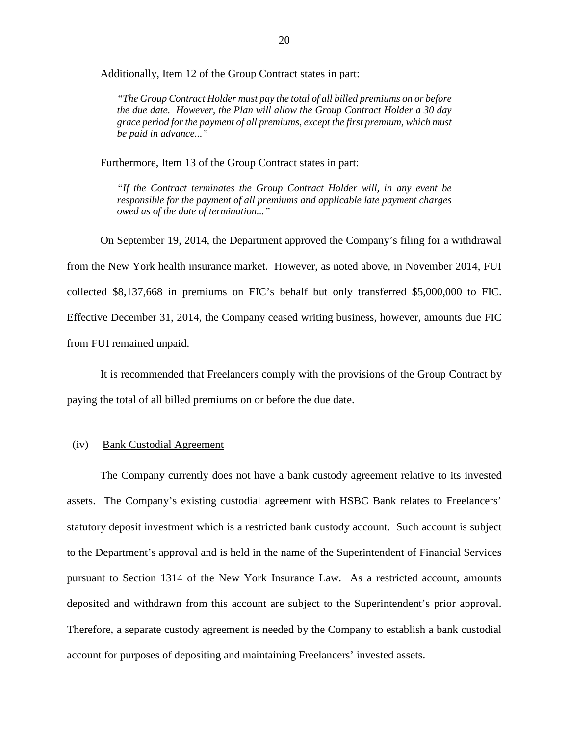Additionally, Item 12 of the Group Contract states in part:

*"The Group Contract Holder must pay the total of all billed premiums on or before the due date. However, the Plan will allow the Group Contract Holder a 30 day grace period for the payment of all premiums, except the first premium, which must be paid in advance..."*

Furthermore, Item 13 of the Group Contract states in part:

*"If the Contract terminates the Group Contract Holder will, in any event be responsible for the payment of all premiums and applicable late payment charges owed as of the date of termination..."*

On September 19, 2014, the Department approved the Company's filing for a withdrawal from the New York health insurance market. However, as noted above, in November 2014, FUI collected \$8,137,668 in premiums on FIC's behalf but only transferred \$5,000,000 to FIC. Effective December 31, 2014, the Company ceased writing business, however, amounts due FIC from FUI remained unpaid.

It is recommended that Freelancers comply with the provisions of the Group Contract by paying the total of all billed premiums on or before the due date.

#### (iv) Bank Custodial Agreement

The Company currently does not have a bank custody agreement relative to its invested assets. The Company's existing custodial agreement with HSBC Bank relates to Freelancers' statutory deposit investment which is a restricted bank custody account. Such account is subject to the Department's approval and is held in the name of the Superintendent of Financial Services pursuant to Section 1314 of the New York Insurance Law. As a restricted account, amounts deposited and withdrawn from this account are subject to the Superintendent's prior approval. Therefore, a separate custody agreement is needed by the Company to establish a bank custodial account for purposes of depositing and maintaining Freelancers' invested assets.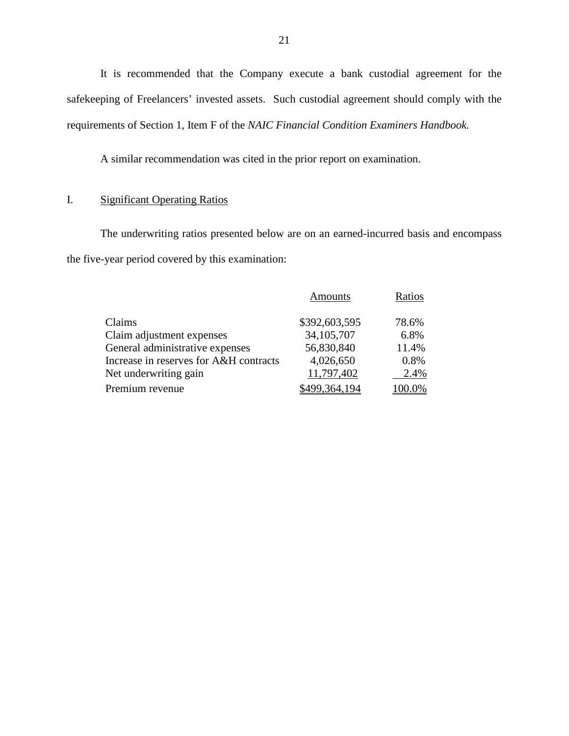It is recommended that the Company execute a bank custodial agreement for the safekeeping of Freelancers' invested assets. Such custodial agreement should comply with the requirements of Section 1, Item F of the *NAIC Financial Condition Examiners Handbook.*

A similar recommendation was cited in the prior report on examination.

### I. Significant Operating Ratios

The underwriting ratios presented below are on an earned-incurred basis and encompass the five-year period covered by this examination:

|                                        | Amounts       | Ratios  |
|----------------------------------------|---------------|---------|
| Claims                                 | \$392,603,595 | 78.6%   |
| Claim adjustment expenses              | 34, 105, 707  | 6.8%    |
| General administrative expenses        | 56,830,840    | 11.4%   |
| Increase in reserves for A&H contracts | 4,026,650     | 0.8%    |
| Net underwriting gain                  | 11,797,402    | 2.4%    |
| Premium revenue                        | 499.364.194   | $0.0\%$ |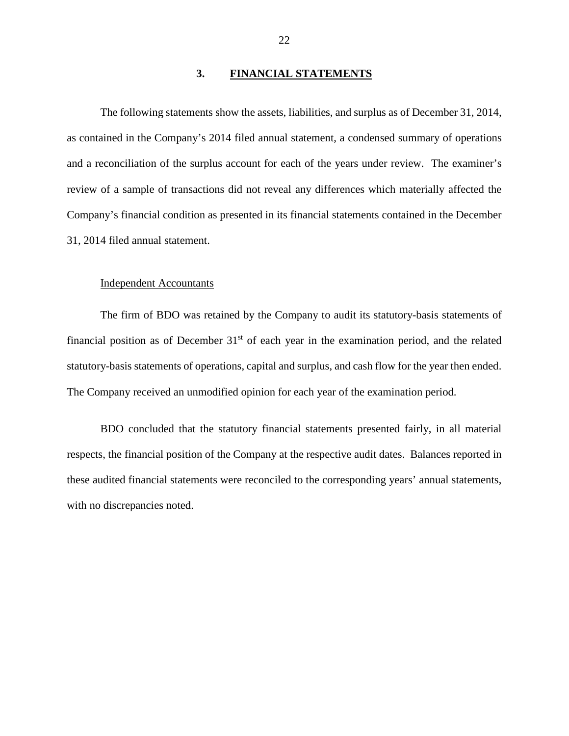#### **3. FINANCIAL STATEMENTS**

The following statements show the assets, liabilities, and surplus as of December 31, 2014, as contained in the Company's 2014 filed annual statement, a condensed summary of operations and a reconciliation of the surplus account for each of the years under review. The examiner's review of a sample of transactions did not reveal any differences which materially affected the Company's financial condition as presented in its financial statements contained in the December 31, 2014 filed annual statement.

#### Independent Accountants

The firm of BDO was retained by the Company to audit its statutory-basis statements of financial position as of December  $31<sup>st</sup>$  of each year in the examination period, and the related statutory-basis statements of operations, capital and surplus, and cash flow for the year then ended. The Company received an unmodified opinion for each year of the examination period.

BDO concluded that the statutory financial statements presented fairly, in all material respects, the financial position of the Company at the respective audit dates. Balances reported in these audited financial statements were reconciled to the corresponding years' annual statements, with no discrepancies noted.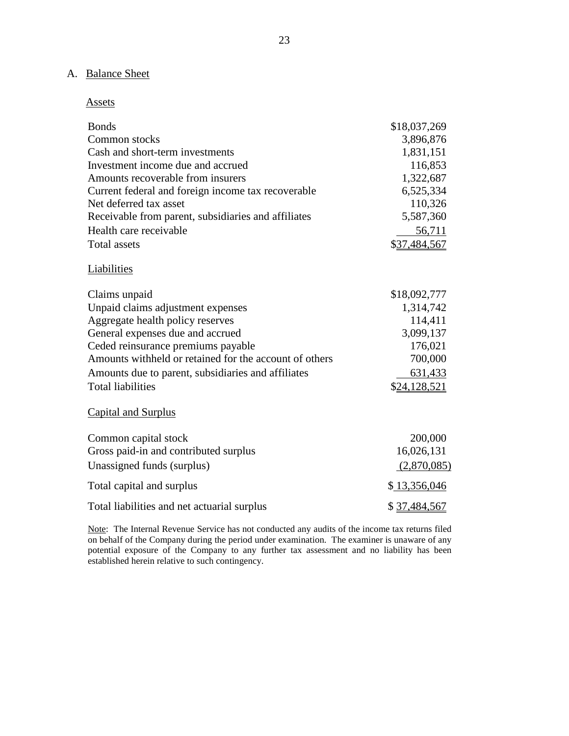## A. Balance Sheet

#### Assets

| <b>Bonds</b>                                           | \$18,037,269 |
|--------------------------------------------------------|--------------|
| Common stocks                                          | 3,896,876    |
| Cash and short-term investments                        | 1,831,151    |
| Investment income due and accrued                      | 116,853      |
| Amounts recoverable from insurers                      | 1,322,687    |
| Current federal and foreign income tax recoverable     | 6,525,334    |
| Net deferred tax asset                                 | 110,326      |
| Receivable from parent, subsidiaries and affiliates    | 5,587,360    |
| Health care receivable                                 | 56,711       |
| <b>Total assets</b>                                    | \$37,484,567 |
| Liabilities                                            |              |
| Claims unpaid                                          | \$18,092,777 |
| Unpaid claims adjustment expenses                      | 1,314,742    |
| Aggregate health policy reserves                       | 114,411      |
| General expenses due and accrued                       | 3,099,137    |
| Ceded reinsurance premiums payable                     | 176,021      |
| Amounts withheld or retained for the account of others | 700,000      |
| Amounts due to parent, subsidiaries and affiliates     | 631,433      |
| <b>Total liabilities</b>                               | \$24,128,521 |
| <b>Capital and Surplus</b>                             |              |
| Common capital stock                                   | 200,000      |
| Gross paid-in and contributed surplus                  | 16,026,131   |
| Unassigned funds (surplus)                             | (2,870,085)  |
| Total capital and surplus                              | \$13,356,046 |
| Total liabilities and net actuarial surplus            | \$37,484,567 |
|                                                        |              |

Note: The Internal Revenue Service has not conducted any audits of the income tax returns filed on behalf of the Company during the period under examination. The examiner is unaware of any potential exposure of the Company to any further tax assessment and no liability has been established herein relative to such contingency.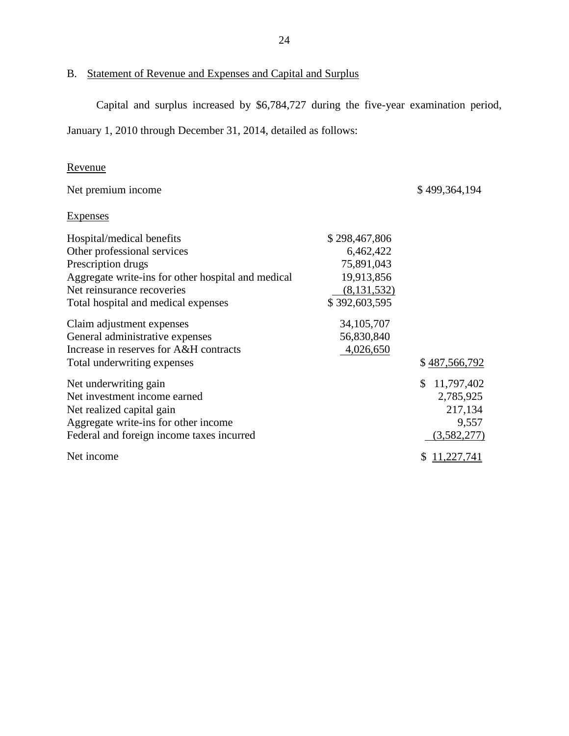B. Statement of Revenue and Expenses and Capital and Surplus

Capital and surplus increased by \$6,784,727 during the five-year examination period,

January 1, 2010 through December 31, 2014, detailed as follows:

### Revenue

| Net premium income                                 |               | \$499,364,194 |
|----------------------------------------------------|---------------|---------------|
| <b>Expenses</b>                                    |               |               |
| Hospital/medical benefits                          | \$298,467,806 |               |
| Other professional services                        | 6,462,422     |               |
| Prescription drugs                                 | 75,891,043    |               |
| Aggregate write-ins for other hospital and medical | 19,913,856    |               |
| Net reinsurance recoveries                         | (8, 131, 532) |               |
| Total hospital and medical expenses                | \$392,603,595 |               |
| Claim adjustment expenses                          | 34, 105, 707  |               |
| General administrative expenses                    | 56,830,840    |               |
| Increase in reserves for A&H contracts             | 4,026,650     |               |
| Total underwriting expenses                        |               | \$487,566,792 |
| Net underwriting gain                              |               | \$11,797,402  |
| Net investment income earned                       |               | 2,785,925     |
| Net realized capital gain                          |               | 217,134       |
| Aggregate write-ins for other income               |               | 9,557         |
| Federal and foreign income taxes incurred          |               | (3,582,277)   |
| Net income                                         |               | \$11,227,741  |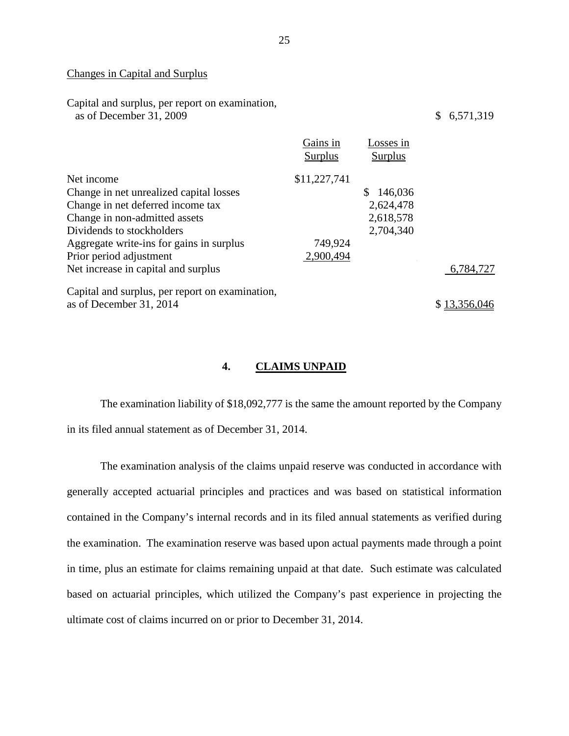#### Changes in Capital and Surplus

| Capital and surplus, per report on examination,<br>as of December 31, 2009                                                                                                                                                      |                                      |                                                      | 6,571,319<br>\$           |
|---------------------------------------------------------------------------------------------------------------------------------------------------------------------------------------------------------------------------------|--------------------------------------|------------------------------------------------------|---------------------------|
|                                                                                                                                                                                                                                 | Gains in<br><b>Surplus</b>           | Losses in<br>Surplus                                 |                           |
| Net income<br>Change in net unrealized capital losses<br>Change in net deferred income tax<br>Change in non-admitted assets<br>Dividends to stockholders<br>Aggregate write-ins for gains in surplus<br>Prior period adjustment | \$11,227,741<br>749,924<br>2,900,494 | \$<br>146,036<br>2,624,478<br>2,618,578<br>2,704,340 |                           |
| Net increase in capital and surplus<br>Capital and surplus, per report on examination,<br>as of December 31, 2014                                                                                                               |                                      |                                                      | 6,784,727<br>\$13,356,046 |
|                                                                                                                                                                                                                                 |                                      |                                                      |                           |

#### **4. CLAIMS UNPAID**

The examination liability of \$18,092,777 is the same the amount reported by the Company in its filed annual statement as of December 31, 2014.

The examination analysis of the claims unpaid reserve was conducted in accordance with generally accepted actuarial principles and practices and was based on statistical information contained in the Company's internal records and in its filed annual statements as verified during the examination. The examination reserve was based upon actual payments made through a point in time, plus an estimate for claims remaining unpaid at that date. Such estimate was calculated based on actuarial principles, which utilized the Company's past experience in projecting the ultimate cost of claims incurred on or prior to December 31, 2014.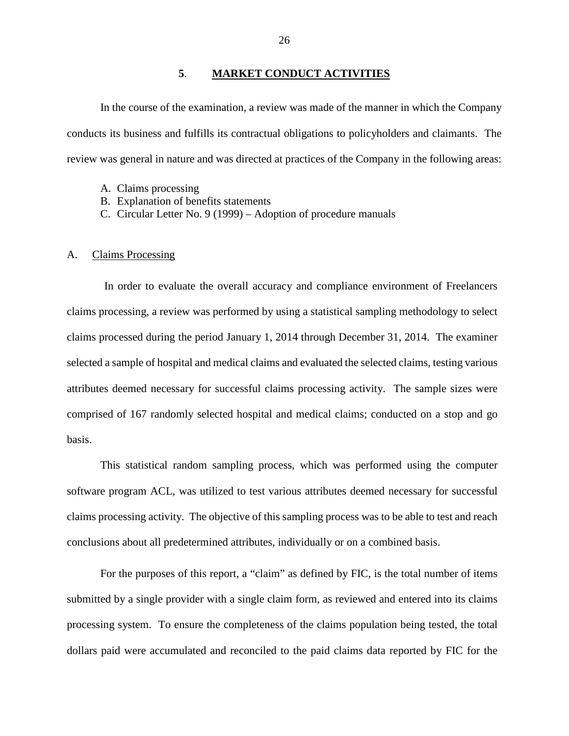#### **5**. **MARKET CONDUCT ACTIVITIES**

In the course of the examination, a review was made of the manner in which the Company conducts its business and fulfills its contractual obligations to policyholders and claimants. The review was general in nature and was directed at practices of the Company in the following areas:

- A. Claims processing
- B. Explanation of benefits statements
- C. Circular Letter No. 9 (1999) Adoption of procedure manuals

#### A. Claims Processing

In order to evaluate the overall accuracy and compliance environment of Freelancers claims processing, a review was performed by using a statistical sampling methodology to select claims processed during the period January 1, 2014 through December 31, 2014. The examiner selected a sample of hospital and medical claims and evaluated the selected claims, testing various attributes deemed necessary for successful claims processing activity. The sample sizes were comprised of 167 randomly selected hospital and medical claims; conducted on a stop and go basis.

This statistical random sampling process, which was performed using the computer software program ACL, was utilized to test various attributes deemed necessary for successful claims processing activity. The objective of this sampling process was to be able to test and reach conclusions about all predetermined attributes, individually or on a combined basis.

For the purposes of this report, a "claim" as defined by FIC, is the total number of items submitted by a single provider with a single claim form, as reviewed and entered into its claims processing system. To ensure the completeness of the claims population being tested, the total dollars paid were accumulated and reconciled to the paid claims data reported by FIC for the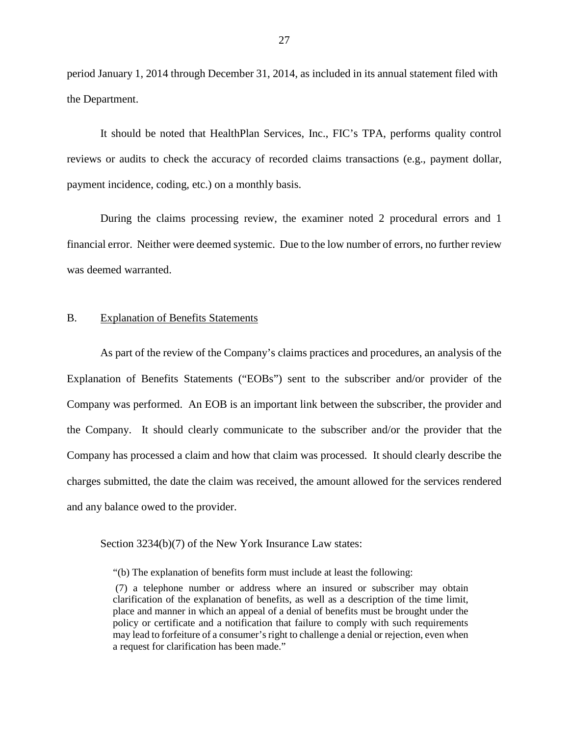period January 1, 2014 through December 31, 2014, as included in its annual statement filed with the Department.

It should be noted that HealthPlan Services, Inc., FIC's TPA, performs quality control reviews or audits to check the accuracy of recorded claims transactions (e.g., payment dollar, payment incidence, coding, etc.) on a monthly basis.

During the claims processing review, the examiner noted 2 procedural errors and 1 financial error. Neither were deemed systemic. Due to the low number of errors, no further review was deemed warranted.

#### B. Explanation of Benefits Statements

As part of the review of the Company's claims practices and procedures, an analysis of the Explanation of Benefits Statements ("EOBs") sent to the subscriber and/or provider of the Company was performed. An EOB is an important link between the subscriber, the provider and the Company. It should clearly communicate to the subscriber and/or the provider that the Company has processed a claim and how that claim was processed. It should clearly describe the charges submitted, the date the claim was received, the amount allowed for the services rendered and any balance owed to the provider.

Section 3234(b)(7) of the New York Insurance Law states:

"(b) The explanation of benefits form must include at least the following:

(7) a telephone number or address where an insured or subscriber may obtain clarification of the explanation of benefits, as well as a description of the time limit, place and manner in which an appeal of a denial of benefits must be brought under the policy or certificate and a notification that failure to comply with such requirements may lead to forfeiture of a consumer's right to challenge a denial or rejection, even when a request for clarification has been made."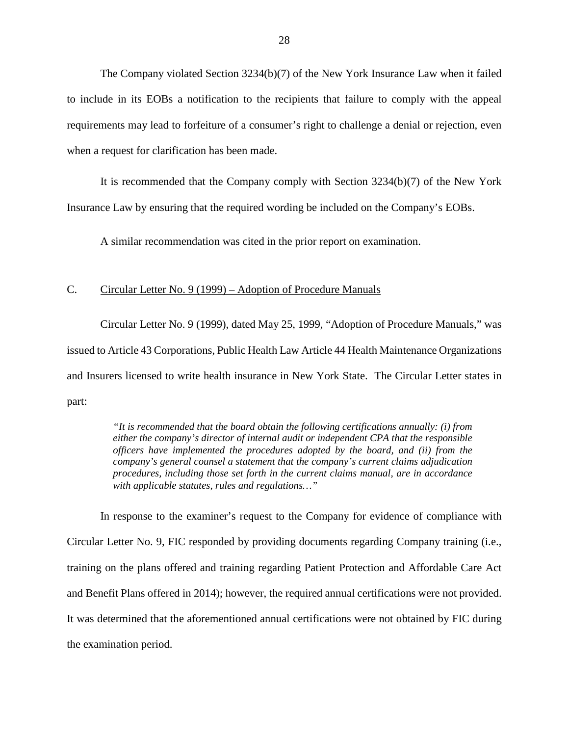The Company violated Section 3234(b)(7) of the New York Insurance Law when it failed to include in its EOBs a notification to the recipients that failure to comply with the appeal requirements may lead to forfeiture of a consumer's right to challenge a denial or rejection, even when a request for clarification has been made.

It is recommended that the Company comply with Section 3234(b)(7) of the New York Insurance Law by ensuring that the required wording be included on the Company's EOBs.

A similar recommendation was cited in the prior report on examination.

#### C. Circular Letter No. 9 (1999) – Adoption of Procedure Manuals

Circular Letter No. 9 (1999), dated May 25, 1999, "Adoption of Procedure Manuals," was issued to Article 43 Corporations, Public Health Law Article 44 Health Maintenance Organizations and Insurers licensed to write health insurance in New York State. The Circular Letter states in part:

> *"It is recommended that the board obtain the following certifications annually: (i) from either the company's director of internal audit or independent CPA that the responsible officers have implemented the procedures adopted by the board, and (ii) from the company's general counsel a statement that the company's current claims adjudication procedures, including those set forth in the current claims manual, are in accordance with applicable statutes, rules and regulations…"*

In response to the examiner's request to the Company for evidence of compliance with Circular Letter No. 9, FIC responded by providing documents regarding Company training (i.e., training on the plans offered and training regarding Patient Protection and Affordable Care Act and Benefit Plans offered in 2014); however, the required annual certifications were not provided. It was determined that the aforementioned annual certifications were not obtained by FIC during the examination period.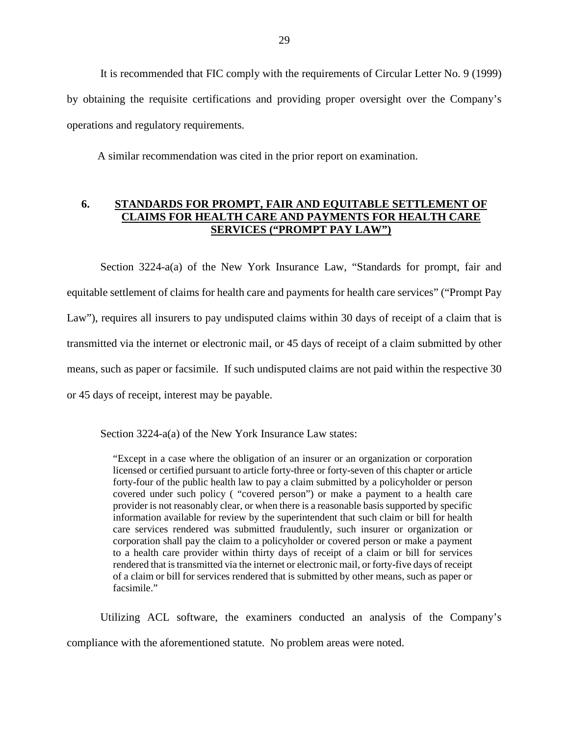It is recommended that FIC comply with the requirements of Circular Letter No. 9 (1999) by obtaining the requisite certifications and providing proper oversight over the Company's operations and regulatory requirements.

A similar recommendation was cited in the prior report on examination.

#### **6. STANDARDS FOR PROMPT, FAIR AND EQUITABLE SETTLEMENT OF CLAIMS FOR HEALTH CARE AND PAYMENTS FOR HEALTH CARE SERVICES ("PROMPT PAY LAW")**

Section 3224-a(a) of the New York Insurance Law, "Standards for prompt, fair and equitable settlement of claims for health care and payments for health care services" ("Prompt Pay Law"), requires all insurers to pay undisputed claims within 30 days of receipt of a claim that is transmitted via the internet or electronic mail, or 45 days of receipt of a claim submitted by other means, such as paper or facsimile. If such undisputed claims are not paid within the respective 30 or 45 days of receipt, interest may be payable.

Section 3224-a(a) of the New York Insurance Law states:

"Except in a case where the obligation of an insurer or an organization or corporation licensed or certified pursuant to article forty-three or forty-seven of this chapter or article forty-four of the public health law to pay a claim submitted by a policyholder or person covered under such policy ( "covered person") or make a payment to a health care provider is not reasonably clear, or when there is a reasonable basis supported by specific information available for review by the superintendent that such claim or bill for health care services rendered was submitted fraudulently, such insurer or organization or corporation shall pay the claim to a policyholder or covered person or make a payment to a health care provider within thirty days of receipt of a claim or bill for services rendered that is transmitted via the internet or electronic mail, or forty-five days of receipt of a claim or bill for services rendered that is submitted by other means, such as paper or facsimile."

Utilizing ACL software, the examiners conducted an analysis of the Company's compliance with the aforementioned statute. No problem areas were noted.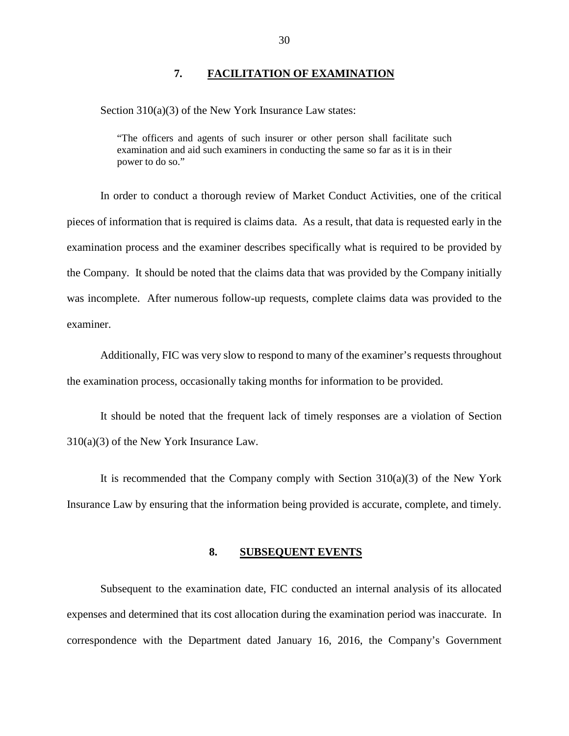#### **7. FACILITATION OF EXAMINATION**

Section 310(a)(3) of the New York Insurance Law states:

"The officers and agents of such insurer or other person shall facilitate such examination and aid such examiners in conducting the same so far as it is in their power to do so."

In order to conduct a thorough review of Market Conduct Activities, one of the critical pieces of information that is required is claims data. As a result, that data is requested early in the examination process and the examiner describes specifically what is required to be provided by the Company. It should be noted that the claims data that was provided by the Company initially was incomplete. After numerous follow-up requests, complete claims data was provided to the examiner.

Additionally, FIC was very slow to respond to many of the examiner's requests throughout the examination process, occasionally taking months for information to be provided.

It should be noted that the frequent lack of timely responses are a violation of Section 310(a)(3) of the New York Insurance Law.

It is recommended that the Company comply with Section  $310(a)(3)$  of the New York Insurance Law by ensuring that the information being provided is accurate, complete, and timely.

#### **8. SUBSEQUENT EVENTS**

Subsequent to the examination date, FIC conducted an internal analysis of its allocated expenses and determined that its cost allocation during the examination period was inaccurate. In correspondence with the Department dated January 16, 2016, the Company's Government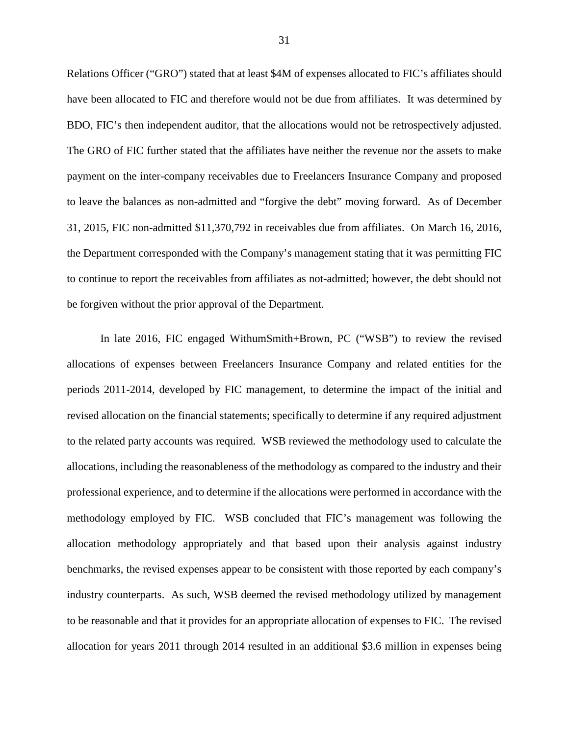Relations Officer ("GRO") stated that at least \$4M of expenses allocated to FIC's affiliates should have been allocated to FIC and therefore would not be due from affiliates. It was determined by BDO, FIC's then independent auditor, that the allocations would not be retrospectively adjusted. The GRO of FIC further stated that the affiliates have neither the revenue nor the assets to make payment on the inter-company receivables due to Freelancers Insurance Company and proposed to leave the balances as non-admitted and "forgive the debt" moving forward. As of December 31, 2015, FIC non-admitted \$11,370,792 in receivables due from affiliates. On March 16, 2016, the Department corresponded with the Company's management stating that it was permitting FIC to continue to report the receivables from affiliates as not-admitted; however, the debt should not be forgiven without the prior approval of the Department.

In late 2016, FIC engaged WithumSmith+Brown, PC ("WSB") to review the revised allocations of expenses between Freelancers Insurance Company and related entities for the periods 2011-2014, developed by FIC management, to determine the impact of the initial and revised allocation on the financial statements; specifically to determine if any required adjustment to the related party accounts was required. WSB reviewed the methodology used to calculate the allocations, including the reasonableness of the methodology as compared to the industry and their professional experience, and to determine if the allocations were performed in accordance with the methodology employed by FIC. WSB concluded that FIC's management was following the allocation methodology appropriately and that based upon their analysis against industry benchmarks, the revised expenses appear to be consistent with those reported by each company's industry counterparts. As such, WSB deemed the revised methodology utilized by management to be reasonable and that it provides for an appropriate allocation of expenses to FIC. The revised allocation for years 2011 through 2014 resulted in an additional \$3.6 million in expenses being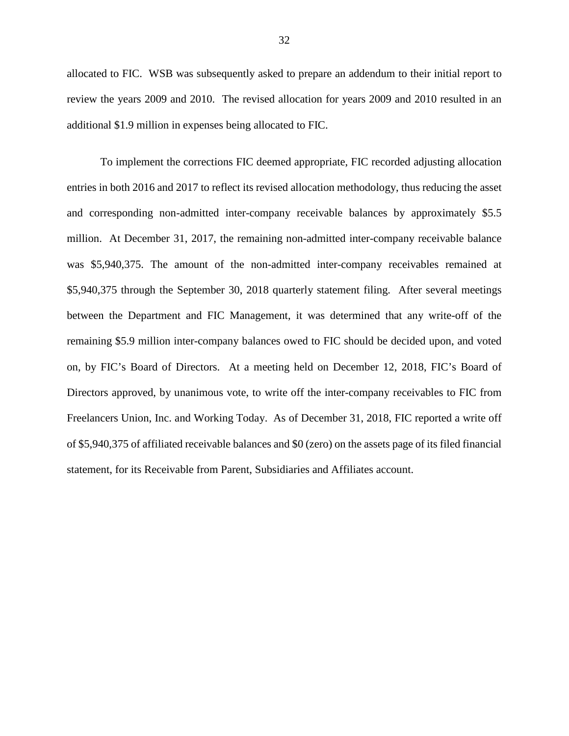allocated to FIC. WSB was subsequently asked to prepare an addendum to their initial report to review the years 2009 and 2010. The revised allocation for years 2009 and 2010 resulted in an additional \$1.9 million in expenses being allocated to FIC.

To implement the corrections FIC deemed appropriate, FIC recorded adjusting allocation entries in both 2016 and 2017 to reflect its revised allocation methodology, thus reducing the asset and corresponding non-admitted inter-company receivable balances by approximately \$5.5 million. At December 31, 2017, the remaining non-admitted inter-company receivable balance was \$5,940,375. The amount of the non-admitted inter-company receivables remained at \$5,940,375 through the September 30, 2018 quarterly statement filing. After several meetings between the Department and FIC Management, it was determined that any write-off of the remaining \$5.9 million inter-company balances owed to FIC should be decided upon, and voted on, by FIC's Board of Directors. At a meeting held on December 12, 2018, FIC's Board of Directors approved, by unanimous vote, to write off the inter-company receivables to FIC from Freelancers Union, Inc. and Working Today. As of December 31, 2018, FIC reported a write off of \$5,940,375 of affiliated receivable balances and \$0 (zero) on the assets page of its filed financial statement, for its Receivable from Parent, Subsidiaries and Affiliates account.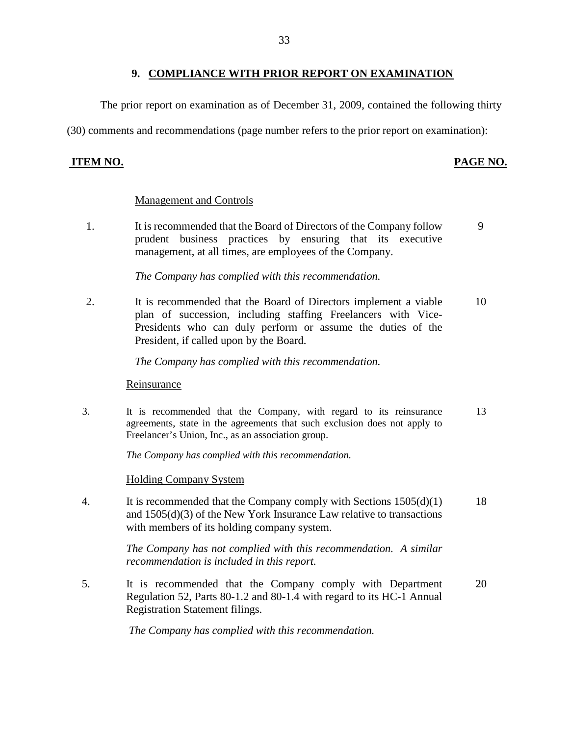#### **9. COMPLIANCE WITH PRIOR REPORT ON EXAMINATION**

The prior report on examination as of December 31, 2009, contained the following thirty

(30) comments and recommendations (page number refers to the prior report on examination):

#### **ITEM NO. PAGE NO.**

#### Management and Controls

1. It is recommended that the Board of Directors of the Company follow prudent business practices by ensuring that its executive management, at all times, are employees of the Company. 9

*The Company has complied with this recommendation.*

2. It is recommended that the Board of Directors implement a viable plan of succession, including staffing Freelancers with Vice-Presidents who can duly perform or assume the duties of the President, if called upon by the Board. 10

*The Company has complied with this recommendation.*

Reinsurance

3. It is recommended that the Company, with regard to its reinsurance agreements, state in the agreements that such exclusion does not apply to Freelancer's Union, Inc., as an association group. 13

*The Company has complied with this recommendation.*

Holding Company System

4. It is recommended that the Company comply with Sections 1505(d)(1) and 1505(d)(3) of the New York Insurance Law relative to transactions with members of its holding company system. 18

> *The Company has not complied with this recommendation. A similar recommendation is included in this report.*

5. It is recommended that the Company comply with Department Regulation 52, Parts 80-1.2 and 80-1.4 with regard to its HC-1 Annual Registration Statement filings. 20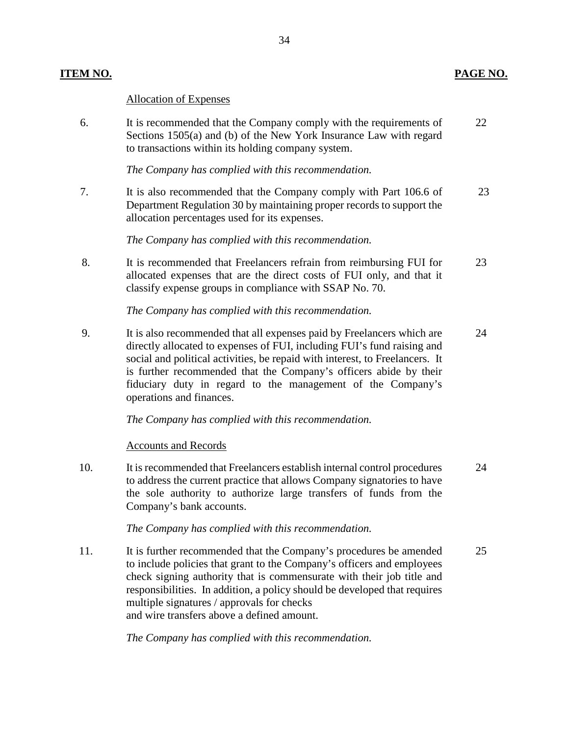### **ITEM NO. PAGE NO.**

#### Allocation of Expenses

6. It is recommended that the Company comply with the requirements of Sections 1505(a) and (b) of the New York Insurance Law with regard to transactions within its holding company system. 22

*The Company has complied with this recommendation.*

7. It is also recommended that the Company comply with Part 106.6 of Department Regulation 30 by maintaining proper records to support the allocation percentages used for its expenses. 23

*The Company has complied with this recommendation.*

8. It is recommended that Freelancers refrain from reimbursing FUI for allocated expenses that are the direct costs of FUI only, and that it classify expense groups in compliance with SSAP No. 70. 23

*The Company has complied with this recommendation.*

9. It is also recommended that all expenses paid by Freelancers which are directly allocated to expenses of FUI, including FUI's fund raising and social and political activities, be repaid with interest, to Freelancers. It is further recommended that the Company's officers abide by their fiduciary duty in regard to the management of the Company's operations and finances. 24

*The Company has complied with this recommendation.*

#### Accounts and Records

10. It is recommended that Freelancers establish internal control procedures to address the current practice that allows Company signatories to have the sole authority to authorize large transfers of funds from the Company's bank accounts. 24

*The Company has complied with this recommendation.*

11. It is further recommended that the Company's procedures be amended to include policies that grant to the Company's officers and employees check signing authority that is commensurate with their job title and responsibilities. In addition, a policy should be developed that requires multiple signatures / approvals for checks and wire transfers above a defined amount. 25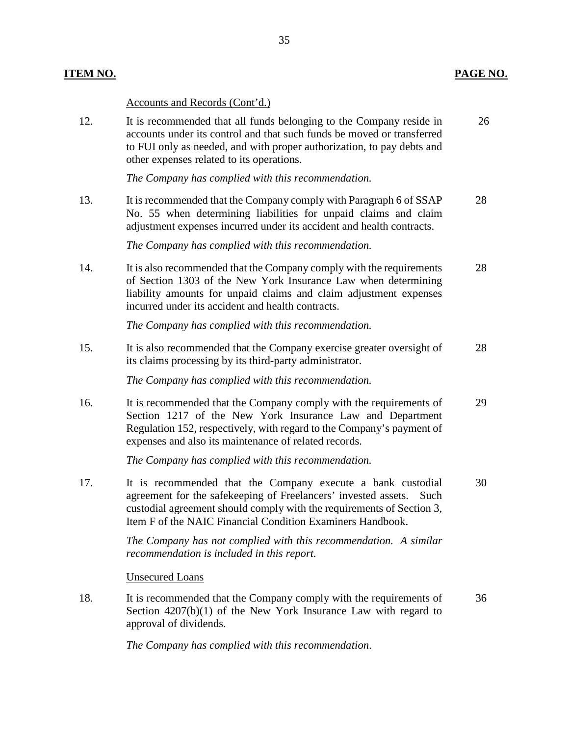#### **ITEM NO. PAGE NO.**

#### Accounts and Records (Cont'd.)

12. It is recommended that all funds belonging to the Company reside in accounts under its control and that such funds be moved or transferred to FUI only as needed, and with proper authorization, to pay debts and other expenses related to its operations. 26

*The Company has complied with this recommendation.*

13. It is recommended that the Company comply with Paragraph 6 of SSAP No. 55 when determining liabilities for unpaid claims and claim adjustment expenses incurred under its accident and health contracts. 28

*The Company has complied with this recommendation.*

14. It is also recommended that the Company comply with the requirements of Section 1303 of the New York Insurance Law when determining liability amounts for unpaid claims and claim adjustment expenses incurred under its accident and health contracts. 28

*The Company has complied with this recommendation.*

15. It is also recommended that the Company exercise greater oversight of its claims processing by its third-party administrator. 28

*The Company has complied with this recommendation.*

16. It is recommended that the Company comply with the requirements of Section 1217 of the New York Insurance Law and Department Regulation 152, respectively, with regard to the Company's payment of expenses and also its maintenance of related records. 29

*The Company has complied with this recommendation.*

17. It is recommended that the Company execute a bank custodial agreement for the safekeeping of Freelancers' invested assets. Such custodial agreement should comply with the requirements of Section 3, Item F of the NAIC Financial Condition Examiners Handbook. 30

> *The Company has not complied with this recommendation. A similar recommendation is included in this report.*

Unsecured Loans

18. It is recommended that the Company comply with the requirements of Section  $4207(b)(1)$  of the New York Insurance Law with regard to approval of dividends. 36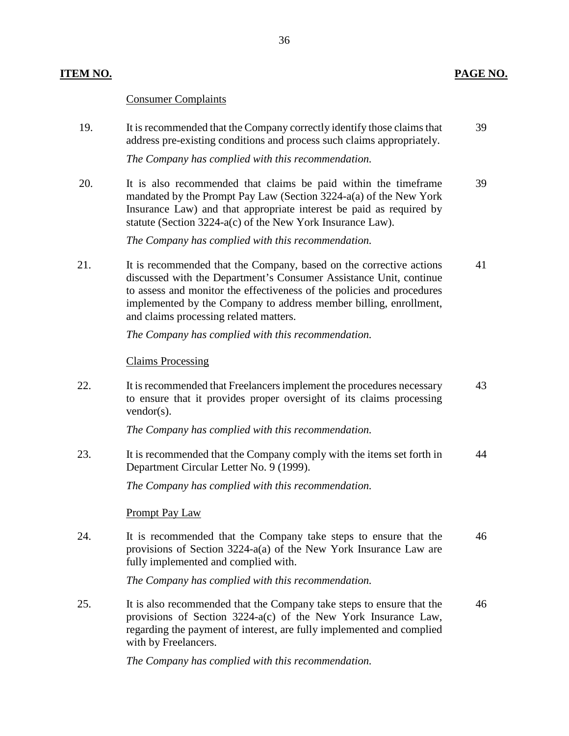#### **ITEM NO. PAGE NO.**

#### Consumer Complaints

19. It is recommended that the Company correctly identify those claims that address pre-existing conditions and process such claims appropriately. *The Company has complied with this recommendation.* 39

39

20. It is also recommended that claims be paid within the timeframe mandated by the Prompt Pay Law (Section 3224-a(a) of the New York Insurance Law) and that appropriate interest be paid as required by

> statute (Section 3224-a(c) of the New York Insurance Law). *The Company has complied with this recommendation.*

21. It is recommended that the Company, based on the corrective actions discussed with the Department's Consumer Assistance Unit, continue to assess and monitor the effectiveness of the policies and procedures implemented by the Company to address member billing, enrollment, and claims processing related matters. 41

*The Company has complied with this recommendation.*

Claims Processing

22. It is recommended that Freelancers implement the procedures necessary to ensure that it provides proper oversight of its claims processing vendor(s). 43

*The Company has complied with this recommendation.*

23. It is recommended that the Company comply with the items set forth in Department Circular Letter No. 9 (1999). 44

*The Company has complied with this recommendation.*

#### Prompt Pay Law

24. It is recommended that the Company take steps to ensure that the provisions of Section 3224-a(a) of the New York Insurance Law are fully implemented and complied with. 46

*The Company has complied with this recommendation.*

25. It is also recommended that the Company take steps to ensure that the provisions of Section 3224-a(c) of the New York Insurance Law, regarding the payment of interest, are fully implemented and complied with by Freelancers. 46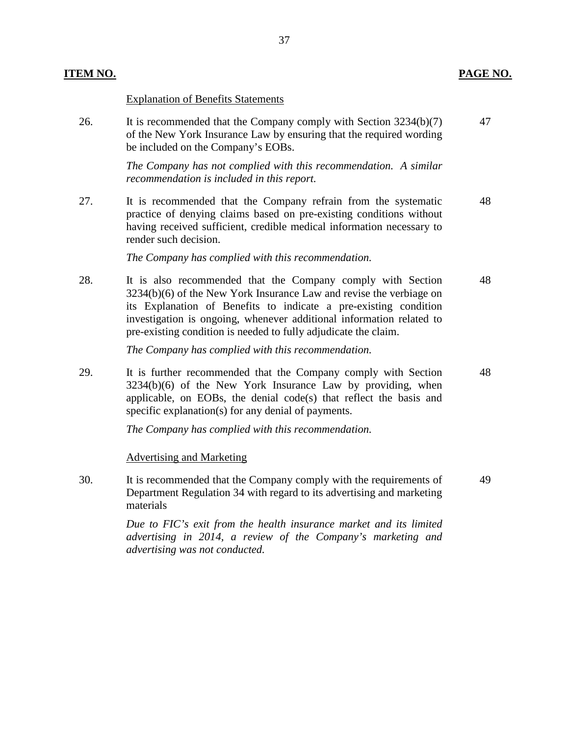47

### **ITEM NO. PAGE NO.**

#### Explanation of Benefits Statements

26. It is recommended that the Company comply with Section 3234(b)(7) of the New York Insurance Law by ensuring that the required wording be included on the Company's EOBs.

> *The Company has not complied with this recommendation. A similar recommendation is included in this report.*

27. It is recommended that the Company refrain from the systematic practice of denying claims based on pre-existing conditions without having received sufficient, credible medical information necessary to render such decision. 48

*The Company has complied with this recommendation.*

28. It is also recommended that the Company comply with Section 3234(b)(6) of the New York Insurance Law and revise the verbiage on its Explanation of Benefits to indicate a pre-existing condition investigation is ongoing, whenever additional information related to pre-existing condition is needed to fully adjudicate the claim. 48

*The Company has complied with this recommendation.*

29. It is further recommended that the Company comply with Section 3234(b)(6) of the New York Insurance Law by providing, when applicable, on EOBs, the denial code(s) that reflect the basis and specific explanation(s) for any denial of payments. 48

*The Company has complied with this recommendation.*

#### Advertising and Marketing

30. It is recommended that the Company comply with the requirements of Department Regulation 34 with regard to its advertising and marketing materials 49

> *Due to FIC's exit from the health insurance market and its limited advertising in 2014, a review of the Company's marketing and advertising was not conducted.*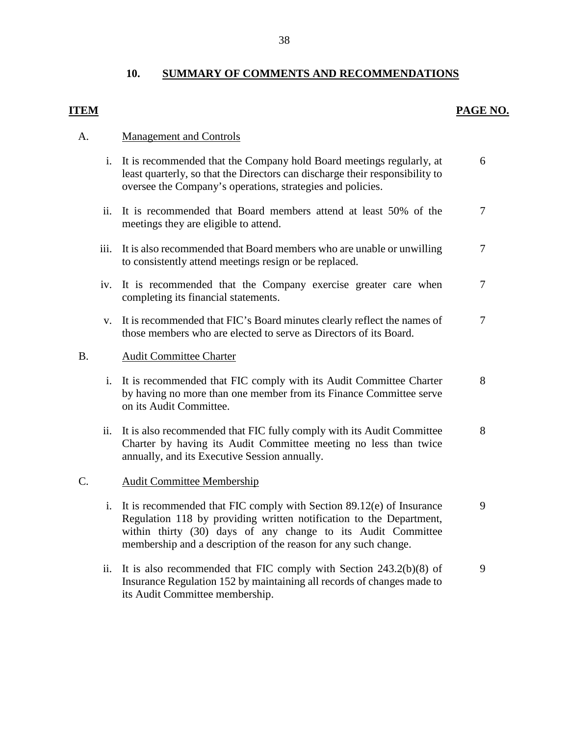## **10. SUMMARY OF COMMENTS AND RECOMMENDATIONS**

# **ITEM PAGE NO.**

## A. Management and Controls

its Audit Committee membership.

|    |      | i. It is recommended that the Company hold Board meetings regularly, at<br>least quarterly, so that the Directors can discharge their responsibility to<br>oversee the Company's operations, strategies and policies.                                                          | 6      |
|----|------|--------------------------------------------------------------------------------------------------------------------------------------------------------------------------------------------------------------------------------------------------------------------------------|--------|
|    | ii.  | It is recommended that Board members attend at least 50% of the<br>meetings they are eligible to attend.                                                                                                                                                                       | $\tau$ |
|    | iii. | It is also recommended that Board members who are unable or unwilling<br>to consistently attend meetings resign or be replaced.                                                                                                                                                | $\tau$ |
|    | iv.  | It is recommended that the Company exercise greater care when<br>completing its financial statements.                                                                                                                                                                          | $\tau$ |
|    | V.   | It is recommended that FIC's Board minutes clearly reflect the names of<br>those members who are elected to serve as Directors of its Board.                                                                                                                                   | $\tau$ |
| Β. |      | <b>Audit Committee Charter</b>                                                                                                                                                                                                                                                 |        |
|    | i.   | It is recommended that FIC comply with its Audit Committee Charter<br>by having no more than one member from its Finance Committee serve<br>on its Audit Committee.                                                                                                            | 8      |
|    | ii.  | It is also recommended that FIC fully comply with its Audit Committee<br>Charter by having its Audit Committee meeting no less than twice<br>annually, and its Executive Session annually.                                                                                     | 8      |
| C. |      | <b>Audit Committee Membership</b>                                                                                                                                                                                                                                              |        |
|    | i.   | It is recommended that FIC comply with Section 89.12(e) of Insurance<br>Regulation 118 by providing written notification to the Department,<br>within thirty (30) days of any change to its Audit Committee<br>membership and a description of the reason for any such change. | 9      |
|    | ii.  | It is also recommended that FIC comply with Section $243.2(b)(8)$ of<br>Insurance Regulation 152 by maintaining all records of changes made to                                                                                                                                 | 9      |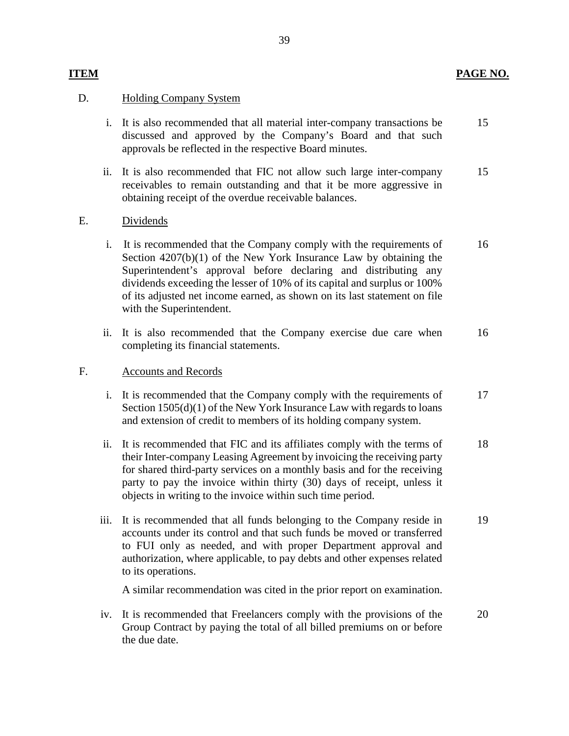#### D. Holding Company System

- i. It is also recommended that all material inter-company transactions be discussed and approved by the Company's Board and that such approvals be reflected in the respective Board minutes. 15
- ii. It is also recommended that FIC not allow such large inter-company receivables to remain outstanding and that it be more aggressive in obtaining receipt of the overdue receivable balances. 15
- E. Dividends
	- i. It is recommended that the Company comply with the requirements of Section 4207(b)(1) of the New York Insurance Law by obtaining the Superintendent's approval before declaring and distributing any dividends exceeding the lesser of 10% of its capital and surplus or 100% of its adjusted net income earned, as shown on its last statement on file with the Superintendent. 16
	- ii. It is also recommended that the Company exercise due care when completing its financial statements. 16

#### F. Accounts and Records

- i. It is recommended that the Company comply with the requirements of Section  $1505(d)(1)$  of the New York Insurance Law with regards to loans and extension of credit to members of its holding company system. 17
- ii. It is recommended that FIC and its affiliates comply with the terms of their Inter-company Leasing Agreement by invoicing the receiving party for shared third-party services on a monthly basis and for the receiving party to pay the invoice within thirty (30) days of receipt, unless it objects in writing to the invoice within such time period. 18
- iii. It is recommended that all funds belonging to the Company reside in accounts under its control and that such funds be moved or transferred to FUI only as needed, and with proper Department approval and authorization, where applicable, to pay debts and other expenses related to its operations. 19

A similar recommendation was cited in the prior report on examination.

iv. It is recommended that Freelancers comply with the provisions of the Group Contract by paying the total of all billed premiums on or before the due date. 20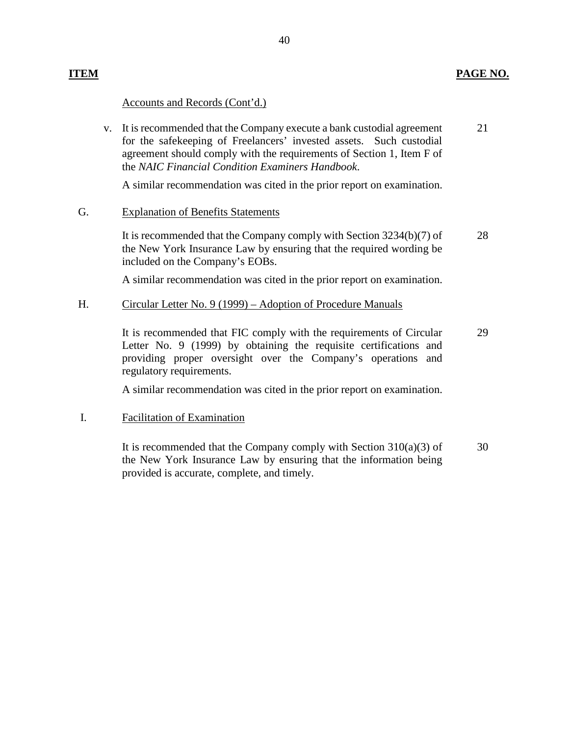#### **ITEM PAGE NO.**

#### Accounts and Records (Cont'd.)

v. It is recommended that the Company execute a bank custodial agreement for the safekeeping of Freelancers' invested assets. Such custodial agreement should comply with the requirements of Section 1, Item F of the *NAIC Financial Condition Examiners Handbook*. 21

A similar recommendation was cited in the prior report on examination.

#### G. Explanation of Benefits Statements

It is recommended that the Company comply with Section 3234(b)(7) of the New York Insurance Law by ensuring that the required wording be included on the Company's EOBs. 28

A similar recommendation was cited in the prior report on examination.

#### H. Circular Letter No. 9 (1999) – Adoption of Procedure Manuals

It is recommended that FIC comply with the requirements of Circular Letter No. 9 (1999) by obtaining the requisite certifications and providing proper oversight over the Company's operations and regulatory requirements. 29

A similar recommendation was cited in the prior report on examination.

#### I. Facilitation of Examination

It is recommended that the Company comply with Section  $310(a)(3)$  of the New York Insurance Law by ensuring that the information being provided is accurate, complete, and timely. 30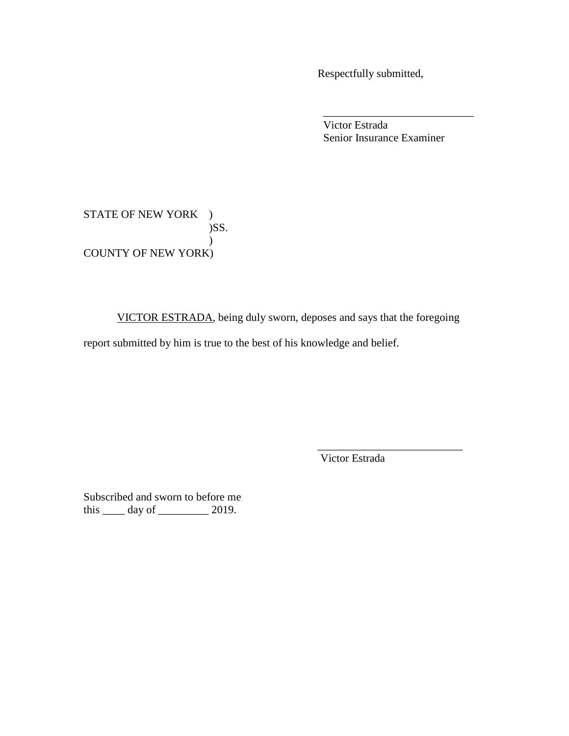Respectfully submitted,

Victor Estrada Senior Insurance Examiner

STATE OF NEW YORK )  $)$ SS. ) COUNTY OF NEW YORK)

VICTOR ESTRADA, being duly sworn, deposes and says that the foregoing

 $\overline{\phantom{a}}$  , which is a set of the set of the set of the set of the set of the set of the set of the set of the set of the set of the set of the set of the set of the set of the set of the set of the set of the set of th

report submitted by him is true to the best of his knowledge and belief.

 $\overline{\phantom{a}}$  , which is a set of the set of the set of the set of the set of the set of the set of the set of the set of the set of the set of the set of the set of the set of the set of the set of the set of the set of th Victor Estrada

Subscribed and sworn to before me this \_\_\_\_ day of \_\_\_\_\_\_\_\_\_ 2019.